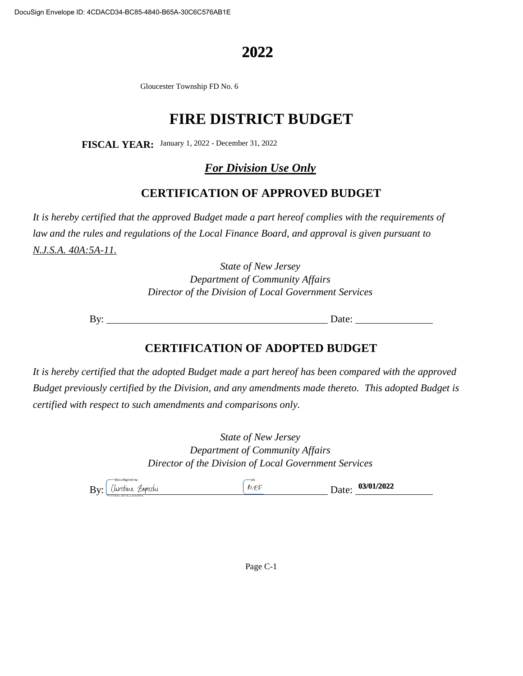### **2022**

Gloucester Township FD No. 6

### **FIRE DISTRICT BUDGET**

**FISCAL YEAR:** January 1, 2022 - December 31, 2022

### *For Division Use Only*

### **CERTIFICATION OF APPROVED BUDGET**

*It is hereby certified that the approved Budget made a part hereof complies with the requirements of law and the rules and regulations of the Local Finance Board, and approval is given pursuant to N.J.S.A. 40A:5A-11.*

> *State of New Jersey Department of Community Affairs Director of the Division of Local Government Services*

By: Date: Date:

### **CERTIFICATION OF ADOPTED BUDGET**

*It is hereby certified that the adopted Budget made a part hereof has been compared with the approved Budget previously certified by the Division, and any amendments made thereto. This adopted Budget is certified with respect to such amendments and comparisons only.* 

> *Director of the Division of Local Government Services State of New Jersey Department of Community Affairs*

|                                | DocuSigned by:        | ·DS |            |
|--------------------------------|-----------------------|-----|------------|
| $\mathbf{R}_{\mathbf{V}}$<br>┻ | unstine<br>Zapicchi   | MET | 03/01/2022 |
|                                | - 5AE 3U IUC CI59B445 |     |            |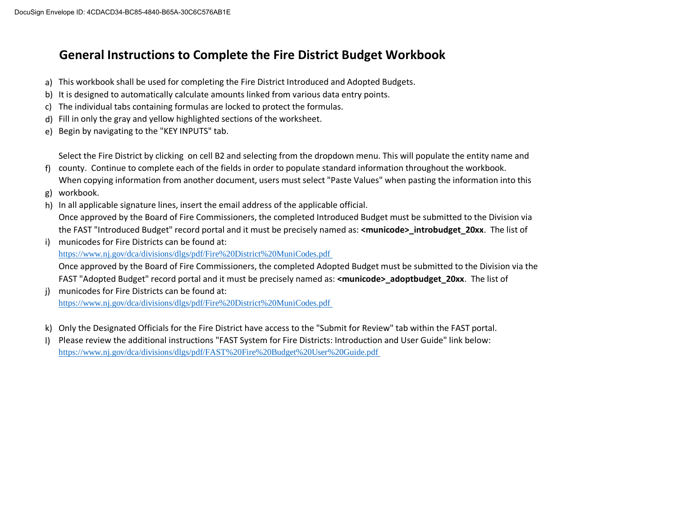### **General Instructions to Complete the Fire District Budget Workbook**

- a) This workbook shall be used for completing the Fire District Introduced and Adopted Budgets.
- b) It is designed to automatically calculate amounts linked from various data entry points.
- c) The individual tabs containing formulas are locked to protect the formulas.
- d) Fill in only the gray and yellow highlighted sections of the worksheet.
- e) Begin by navigating to the "KEY INPUTS" tab.

Select the Fire District by clicking on cell B2 and selecting from the dropdown menu. This will populate the entity name and

- f) county. Continue to complete each of the fields in order to populate standard information throughout the workbook. When copying information from another document, users must select "Paste Values" when pasting the information into this
- g) workbook.
- h) In all applicable signature lines, insert the email address of the applicable official. Once approved by the Board of Fire Commissioners, the completed Introduced Budget must be submitted to the Division via the FAST "Introduced Budget" record portal and it must be precisely named as: <**municode> introbudget\_20xx**. The list of
- i) municodes for Fire Districts can be found at:

[https://www.nj.gov/dca/divisions/dlgs/pdf/Fire%20District%20MuniCodes.pdf](https://www.nj.gov/dca/divisions/dlgs/pdf/Fire District MuniCodes.pdf) 

Once approved by the Board of Fire Commissioners, the completed Adopted Budget must be submitted to the Division via the FAST "Adopted Budget" record portal and it must be precisely named as: **<municode>\_adoptbudget\_20xx**. The list of

j) municodes for Fire Districts can be found at:

[https://www.nj.gov/dca/divisions/dlgs/pdf/Fire%20District%20MuniCodes.pdf](https://www.nj.gov/dca/divisions/dlgs/pdf/Fire District MuniCodes.pdf) 

k) Only the Designated Officials for the Fire District have access to the "Submit for Review" tab within the FAST portal.

l) Please review the additional instructions "FAST System for Fire Districts: Introduction and User Guide" link below: [https://www.nj.gov/dca/divisions/dlgs/pdf/FAST%20Fire%20Budget%20User%20Guide.pdf](https://www.nj.gov/dca/divisions/dlgs/pdf/FAST Fire Budget User Guide.pdf)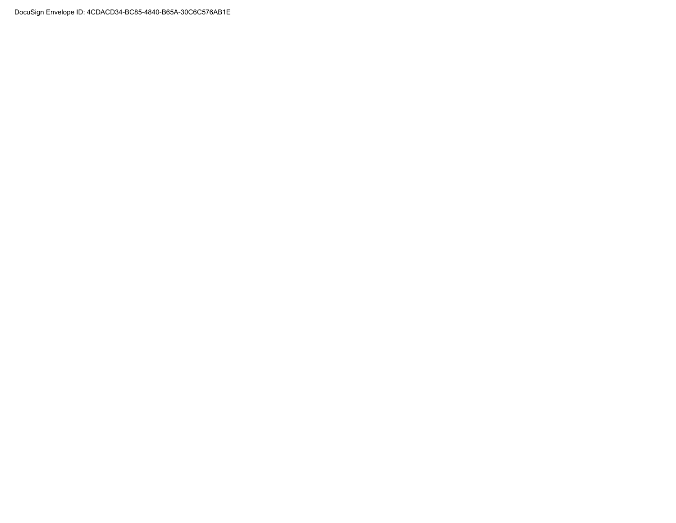DocuSign Envelope ID: 4CDACD34-BC85-4840-B65A-30C6C576AB1E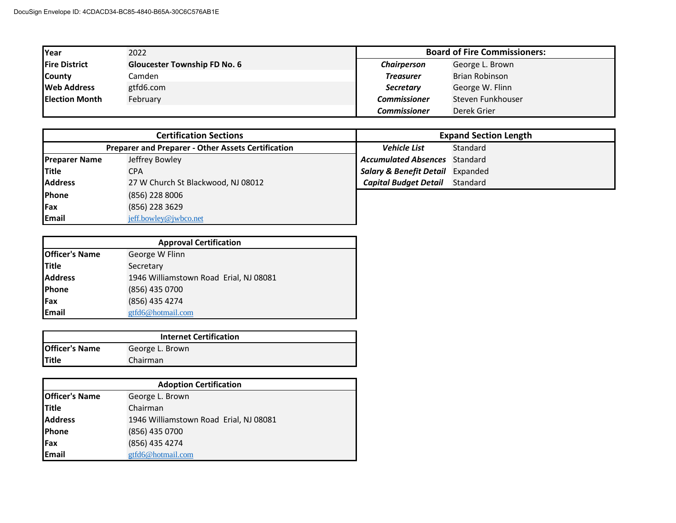| <b>IYear</b>          | 2022                                | <b>Board of Fire Commissioners:</b> |                   |
|-----------------------|-------------------------------------|-------------------------------------|-------------------|
| <b>Fire District</b>  | <b>Gloucester Township FD No. 6</b> | <b>Chairperson</b>                  | George L. Brown   |
| <b>County</b>         | Camden                              | <b>Treasurer</b>                    | Brian Robinson    |
| <b>Web Address</b>    | gtfd6.com                           | <b>Secretary</b>                    | George W. Flinn   |
| <b>Election Month</b> | February                            | <b>Commissioner</b>                 | Steven Funkhouser |
|                       |                                     | <b>Commissioner</b>                 | Derek Grier       |

| <b>Certification Sections</b> |                                                           |                                             | <b>Expand Section Length</b> |  |
|-------------------------------|-----------------------------------------------------------|---------------------------------------------|------------------------------|--|
|                               | <b>Preparer and Preparer - Other Assets Certification</b> | <b>Vehicle List</b>                         | Standard                     |  |
| <b>Preparer Name</b>          | Jeffrey Bowley                                            | <b>Accumulated Absences</b> Standard        |                              |  |
| <b>Title</b>                  | CPA                                                       | <b>Salary &amp; Benefit Detail</b> Expanded |                              |  |
| <b>Address</b>                | 27 W Church St Blackwood, NJ 08012                        | <b>Capital Budget Detail</b> Standard       |                              |  |
| <b>Phone</b>                  | (856) 228 8006                                            |                                             |                              |  |
| Fax                           | (856) 228 3629                                            |                                             |                              |  |
| Email                         | jeff.bowley@jwbco.net                                     |                                             |                              |  |

| <b>Approval Certification</b> |                                        |  |
|-------------------------------|----------------------------------------|--|
| <b>Officer's Name</b>         | George W Flinn                         |  |
| <b>Title</b>                  | Secretary                              |  |
| <b>Address</b>                | 1946 Williamstown Road Erial, NJ 08081 |  |
| Phone                         | (856) 435 0700                         |  |
| Fax                           | (856) 435 4274                         |  |
| Email                         | gtfd6@hotmail.com                      |  |

| <b>Internet Certification</b>            |          |  |
|------------------------------------------|----------|--|
| <b>Officer's Name</b><br>George L. Brown |          |  |
| <b>Title</b>                             | Chairman |  |

| <b>Adoption Certification</b> |                                        |  |
|-------------------------------|----------------------------------------|--|
| <b>Officer's Name</b>         | George L. Brown                        |  |
| <b>Title</b>                  | Chairman                               |  |
| <b>Address</b>                | 1946 Williamstown Road Erial, NJ 08081 |  |
| Phone                         | (856) 435 0700                         |  |
| Fax                           | (856) 435 4274                         |  |
| Email                         | gtfd6@hotmail.com                      |  |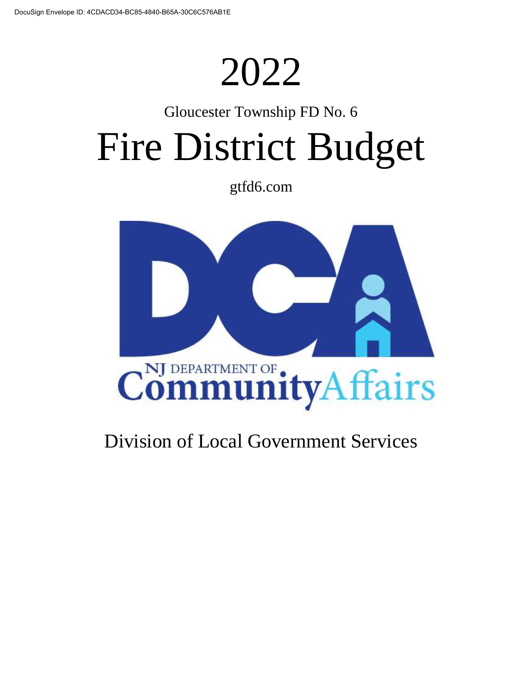# 2022

## Gloucester Township FD No. 6 Fire District Budget

gtfd6.com



### Division of Local Government Services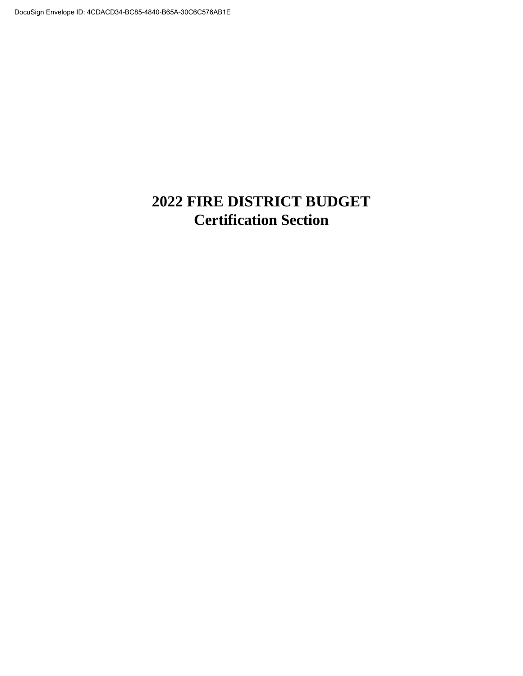### **2022 FIRE DISTRICT BUDGET Certification Section**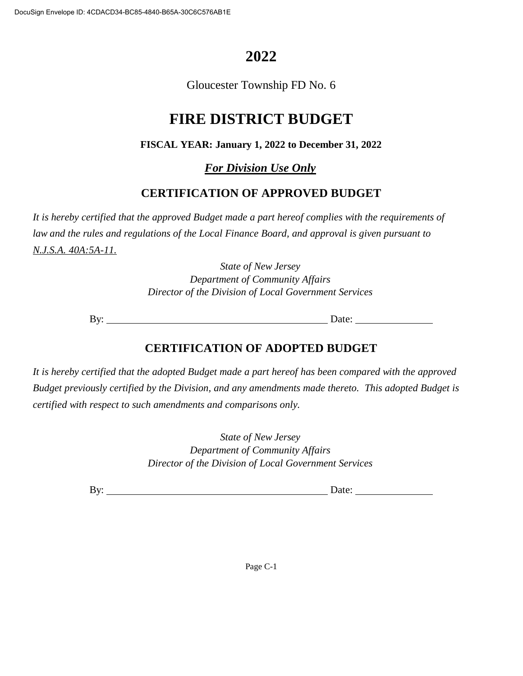### **2022**

Gloucester Township FD No. 6

### **FIRE DISTRICT BUDGET**

### **FISCAL YEAR: January 1, 2022 to December 31, 2022**

*For Division Use Only*

### **CERTIFICATION OF APPROVED BUDGET**

*It is hereby certified that the approved Budget made a part hereof complies with the requirements of law and the rules and regulations of the Local Finance Board, and approval is given pursuant to N.J.S.A. 40A:5A-11.*

> *Director of the Division of Local Government Services State of New Jersey Department of Community Affairs*

By: Date: Date:

### **CERTIFICATION OF ADOPTED BUDGET**

*certified with respect to such amendments and comparisons only. Budget previously certified by the Division, and any amendments made thereto. This adopted Budget is It is hereby certified that the adopted Budget made a part hereof has been compared with the approved*

> *Director of the Division of Local Government Services Department of Community Affairs State of New Jersey*

By: Date: Date:

Page C-1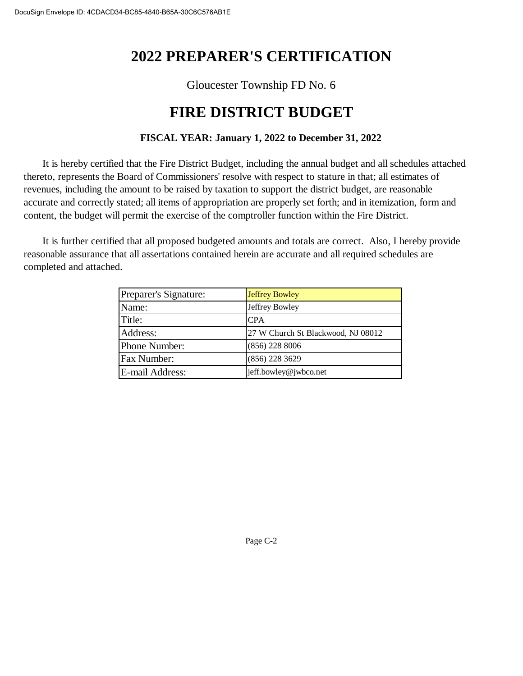### **2022 PREPARER'S CERTIFICATION**

### Gloucester Township FD No. 6

### **FIRE DISTRICT BUDGET**

### **FISCAL YEAR: January 1, 2022 to December 31, 2022**

content, the budget will permit the exercise of the comptroller function within the Fire District. accurate and correctly stated; all items of appropriation are properly set forth; and in itemization, form and revenues, including the amount to be raised by taxation to support the district budget, are reasonable thereto, represents the Board of Commissioners' resolve with respect to stature in that; all estimates of It is hereby certified that the Fire District Budget, including the annual budget and all schedules attached

completed and attached. reasonable assurance that all assertations contained herein are accurate and all required schedules are It is further certified that all proposed budgeted amounts and totals are correct. Also, I hereby provide

| Preparer's Signature: | <b>Jeffrey Bowley</b>              |
|-----------------------|------------------------------------|
| Name:                 | Jeffrey Bowley                     |
| Title:                | <b>CPA</b>                         |
| Address:              | 27 W Church St Blackwood, NJ 08012 |
| Phone Number:         | $(856)$ 228 8006                   |
| Fax Number:           | (856) 228 3629                     |
| E-mail Address:       | jeff.bowley@jwbco.net              |

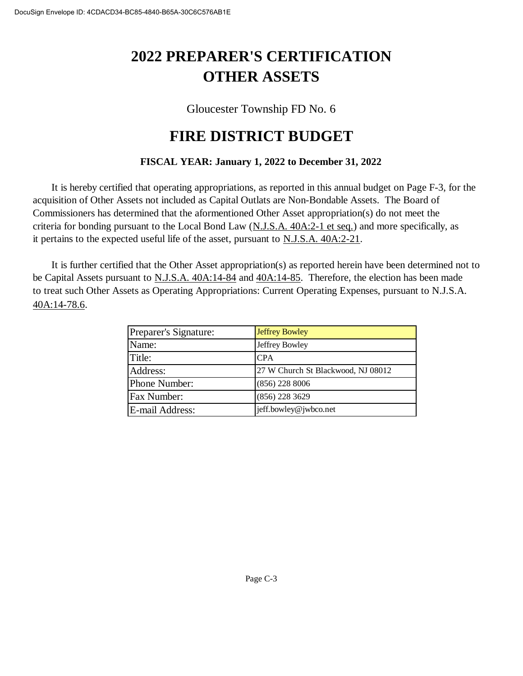### **2022 PREPARER'S CERTIFICATION OTHER ASSETS**

Gloucester Township FD No. 6

### **FIRE DISTRICT BUDGET**

### **FISCAL YEAR: January 1, 2022 to December 31, 2022**

 It is hereby certified that operating appropriations, as reported in this annual budget on Page F-3, for the Commissioners has determined that the aformentioned Other Asset appropriation(s) do not meet the criteria for bonding pursuant to the Local Bond Law (N.J.S.A. 40A:2-1 et seq.) and more specifically, as it pertains to the expected useful life of the asset, pursuant to N.J.S.A. 40A:2-21. acquisition of Other Assets not included as Capital Outlats are Non-Bondable Assets. The Board of

 It is further certified that the Other Asset appropriation(s) as reported herein have been determined not to be Capital Assets pursuant to N.J.S.A. 40A:14-84 and 40A:14-85. Therefore, the election has been made to treat such Other Assets as Operating Appropriations: Current Operating Expenses, pursuant to N.J.S.A. 40A:14-78.6.

| Preparer's Signature: | <b>Jeffrey Bowley</b>              |  |
|-----------------------|------------------------------------|--|
| Name:                 | Jeffrey Bowley                     |  |
| Title:                | <b>CPA</b>                         |  |
| Address:              | 27 W Church St Blackwood, NJ 08012 |  |
| Phone Number:         | $(856)$ 228 8006                   |  |
| Fax Number:           | (856) 228 3629                     |  |
| E-mail Address:       | jeff.bowley@jwbco.net              |  |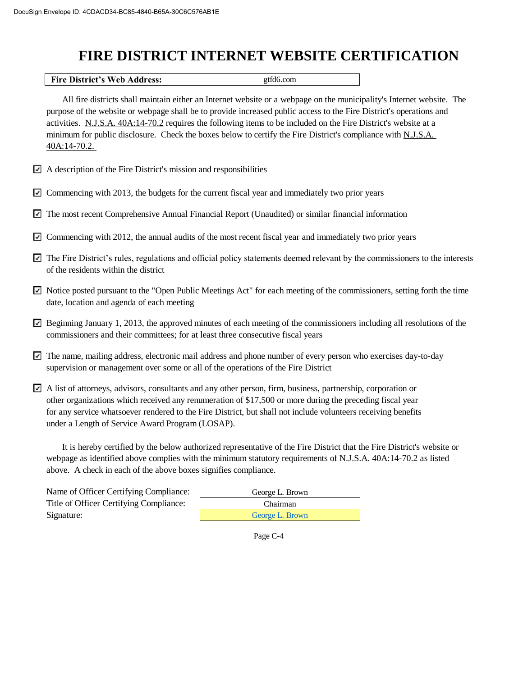### **FIRE DISTRICT INTERNET WEBSITE CERTIFICATION**

| <b>Fire District's Web Address:</b> | gtfd6.com |
|-------------------------------------|-----------|
|-------------------------------------|-----------|

activities. N.J.S.A. 40A:14-70.2 requires the following items to be included on the Fire District's website at a purpose of the website or webpage shall be to provide increased public access to the Fire District's operations and All fire districts shall maintain either an Internet website or a webpage on the municipality's Internet website. The 40A:14-70.2. minimum for public disclosure. Check the boxes below to certify the Fire District's compliance with N.J.S.A.

- $\Box$  A description of the Fire District's mission and responsibilities
- Commencing with 2013, the budgets for the current fiscal year and immediately two prior years
- $\triangledown$  The most recent Comprehensive Annual Financial Report (Unaudited) or similar financial information
- $\Box$  Commencing with 2012, the annual audits of the most recent fiscal year and immediately two prior years
- of the residents within the district The Fire District's rules, regulations and official policy statements deemed relevant by the commissioners to the interests
- $\triangledown$  Notice posted pursuant to the "Open Public Meetings Act" for each meeting of the commissioners, setting forth the time date, location and agenda of each meeting
- $\triangledown$  Beginning January 1, 2013, the approved minutes of each meeting of the commissioners including all resolutions of the commissioners and their committees; for at least three consecutive fiscal years
- supervision or management over some or all of the operations of the Fire District The name, mailing address, electronic mail address and phone number of every person who exercises day-to-day

under a Length of Service Award Program (LOSAP). for any service whatsoever rendered to the Fire District, but shall not include volunteers receiving benefits other organizations which received any renumeration of \$17,500 or more during the preceding fiscal year A list of attorneys, advisors, consultants and any other person, firm, business, partnership, corporation or

above. A check in each of the above boxes signifies compliance. webpage as identified above complies with the minimum statutory requirements of N.J.S.A. 40A:14-70.2 as listed It is hereby certified by the below authorized representative of the Fire District that the Fire District's website or

| Name of Officer Certifying Compliance:  | George L. Brown |  |
|-----------------------------------------|-----------------|--|
| Title of Officer Certifying Compliance: | Chairman        |  |
| Signature:                              | George L. Brown |  |

Page C-4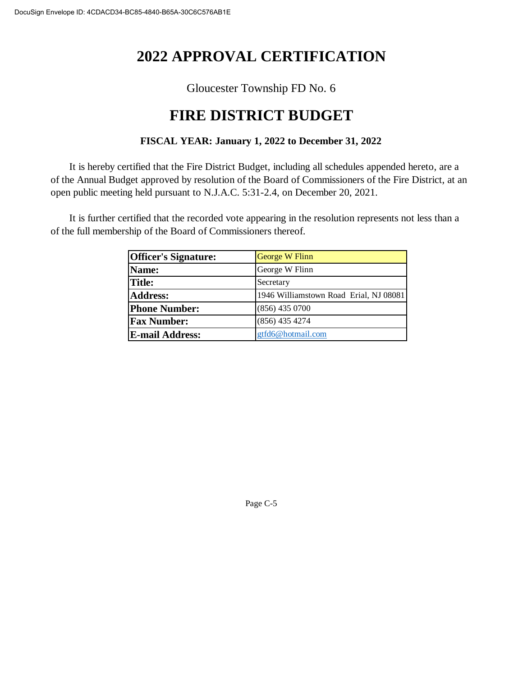### **2022 APPROVAL CERTIFICATION**

Gloucester Township FD No. 6

### **FIRE DISTRICT BUDGET**

### **FISCAL YEAR: January 1, 2022 to December 31, 2022**

of the Annual Budget approved by resolution of the Board of Commissioners of the Fire District, at an It is hereby certified that the Fire District Budget, including all schedules appended hereto, are a open public meeting held pursuant to N.J.A.C. 5:31-2.4, on December 20, 2021.

 It is further certified that the recorded vote appearing in the resolution represents not less than a of the full membership of the Board of Commissioners thereof.

| <b>Officer's Signature:</b> | George W Flinn                         |
|-----------------------------|----------------------------------------|
| Name:                       | George W Flinn                         |
| Title:                      | Secretary                              |
| <b>Address:</b>             | 1946 Williamstown Road Erial, NJ 08081 |
| <b>Phone Number:</b>        | $(856)$ 435 0700                       |
| <b>Fax Number:</b>          | (856) 435 4274                         |
| <b>E-mail Address:</b>      | gtfd6@hotmail.com                      |

Page C-5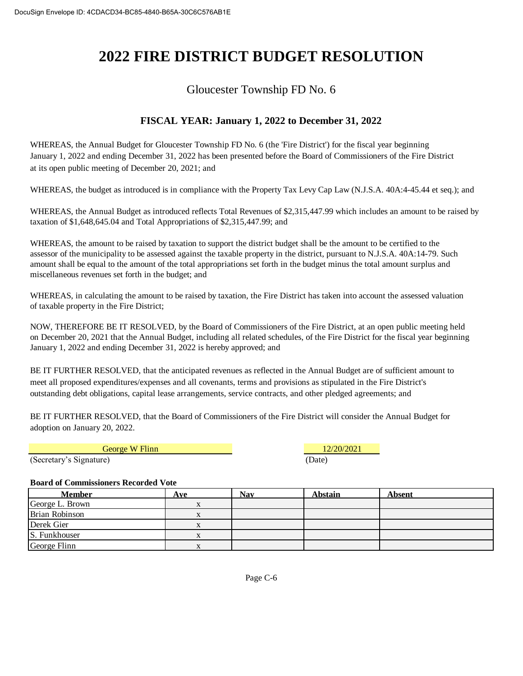### **2022 FIRE DISTRICT BUDGET RESOLUTION**

### Gloucester Township FD No. 6

### **FISCAL YEAR: January 1, 2022 to December 31, 2022**

WHEREAS, the Annual Budget for Gloucester Township FD No. 6 (the 'Fire District') for the fiscal year beginning at its open public meeting of December 20, 2021; and January 1, 2022 and ending December 31, 2022 has been presented before the Board of Commissioners of the Fire District

WHEREAS, the budget as introduced is in compliance with the Property Tax Levy Cap Law (N.J.S.A. 40A:4-45.44 et seq.); and

WHEREAS, the Annual Budget as introduced reflects Total Revenues of \$2,315,447.99 which includes an amount to be raised by taxation of \$1,648,645.04 and Total Appropriations of \$2,315,447.99; and

assessor of the municipality to be assessed against the taxable property in the district, pursuant to N.J.S.A. 40A:14-79. Such WHEREAS, the amount to be raised by taxation to support the district budget shall be the amount to be certified to the miscellaneous revenues set forth in the budget; and amount shall be equal to the amount of the total appropriations set forth in the budget minus the total amount surplus and

of taxable property in the Fire District; WHEREAS, in calculating the amount to be raised by taxation, the Fire District has taken into account the assessed valuation

January 1, 2022 and ending December 31, 2022 is hereby approved; and on December 20, 2021 that the Annual Budget, including all related schedules, of the Fire District for the fiscal year beginning NOW, THEREFORE BE IT RESOLVED, by the Board of Commissioners of the Fire District, at an open public meeting held

BE IT FURTHER RESOLVED, that the anticipated revenues as reflected in the Annual Budget are of sufficient amount to outstanding debt obligations, capital lease arrangements, service contracts, and other pledged agreements; and meet all proposed expenditures/expenses and all covenants, terms and provisions as stipulated in the Fire District's

adoption on January 20, 2022. BE IT FURTHER RESOLVED, that the Board of Commissioners of the Fire District will consider the Annual Budget for

George W Flinn 2012 2021

|        | I <i>21</i> 207 20 |  |
|--------|--------------------|--|
| (Date) |                    |  |

#### **Board of Commissioners Recorded Vote**

(Secretary's Signature)

| <b>Member</b>         | Ave       | <b>Nav</b> | <b>Abstain</b> | <b>Absent</b> |
|-----------------------|-----------|------------|----------------|---------------|
| George L. Brown       | л         |            |                |               |
| <b>Brian Robinson</b> | $\lambda$ |            |                |               |
| Derek Gier            | $\Lambda$ |            |                |               |
| S. Funkhouser         |           |            |                |               |
| George Flinn          |           |            |                |               |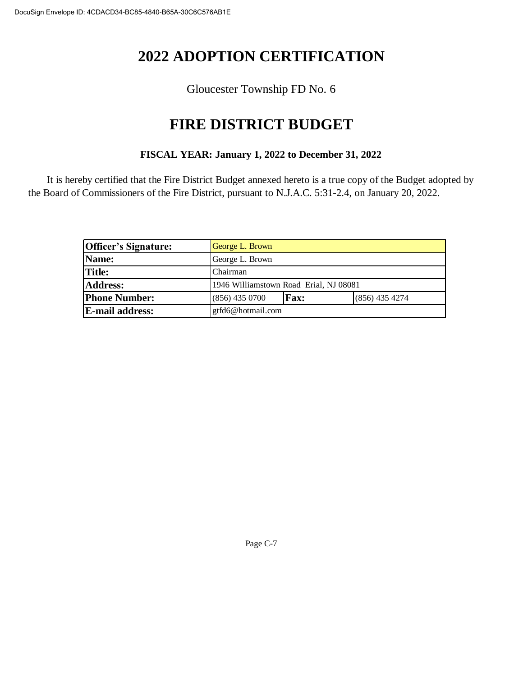### **2022 ADOPTION CERTIFICATION**

Gloucester Township FD No. 6

### **FIRE DISTRICT BUDGET**

### **FISCAL YEAR: January 1, 2022 to December 31, 2022**

the Board of Commissioners of the Fire District, pursuant to N.J.A.C. 5:31-2.4, on January 20, 2022. It is hereby certified that the Fire District Budget annexed hereto is a true copy of the Budget adopted by

| <b>Officer's Signature:</b> | George L. Brown                        |             |                  |  |  |
|-----------------------------|----------------------------------------|-------------|------------------|--|--|
| Name:                       | George L. Brown                        |             |                  |  |  |
| <b>Title:</b>               | Chairman                               |             |                  |  |  |
| <b>Address:</b>             | 1946 Williamstown Road Erial, NJ 08081 |             |                  |  |  |
| <b>Phone Number:</b>        | $(856)$ 435 0700                       | <b>Fax:</b> | $(856)$ 435 4274 |  |  |
| <b>E-mail address:</b>      | gtfd6@hotmail.com                      |             |                  |  |  |

Page C-7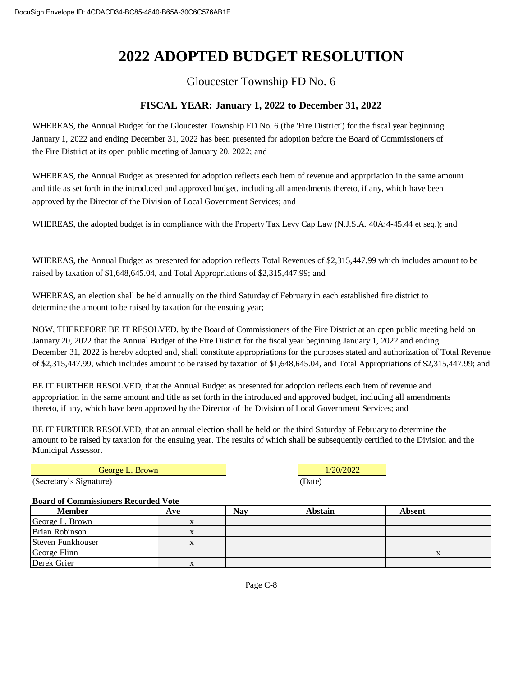### **2022 ADOPTED BUDGET RESOLUTION**

### Gloucester Township FD No. 6

#### **FISCAL YEAR: January 1, 2022 to December 31, 2022**

the Fire District at its open public meeting of January 20, 2022; and January 1, 2022 and ending December 31, 2022 has been presented for adoption before the Board of Commissioners of WHEREAS, the Annual Budget for the Gloucester Township FD No. 6 (the 'Fire District') for the fiscal year beginning

approved by the Director of the Division of Local Government Services; and and title as set forth in the introduced and approved budget, including all amendments thereto, if any, which have been WHEREAS, the Annual Budget as presented for adoption reflects each item of revenue and apprpriation in the same amount

WHEREAS, the adopted budget is in compliance with the Property Tax Levy Cap Law (N.J.S.A. 40A:4-45.44 et seq.); and

raised by taxation of \$1,648,645.04, and Total Appropriations of \$2,315,447.99; and WHEREAS, the Annual Budget as presented for adoption reflects Total Revenues of \$2,315,447.99 which includes amount to be

determine the amount to be raised by taxation for the ensuing year; WHEREAS, an election shall be held annually on the third Saturday of February in each established fire district to

January 20, 2022 that the Annual Budget of the Fire District for the fiscal year beginning January 1, 2022 and ending NOW, THEREFORE BE IT RESOLVED, by the Board of Commissioners of the Fire District at an open public meeting held on of \$2,315,447.99, which includes amount to be raised by taxation of \$1,648,645.04, and Total Appropriations of \$2,315,447.99; and December 31, 2022 is hereby adopted and, shall constitute appropriations for the purposes stated and authorization of Total Revenues

thereto, if any, which have been approved by the Director of the Division of Local Government Services; and appropriation in the same amount and title as set forth in the introduced and approved budget, including all amendments BE IT FURTHER RESOLVED, that the Annual Budget as presented for adoption reflects each item of revenue and

amount to be raised by taxation for the ensuing year. The results of which shall be subsequently certified to the Division and the Municipal Assessor. BE IT FURTHER RESOLVED, that an annual election shall be held on the third Saturday of February to determine the

1/20/2022

(Secretary's Signature) (Date)

#### **Board of Commissioners Recorded Vote**

| <b>Member</b>         | Ave | <b>Nay</b> | <b>Abstain</b> | <b>Absent</b> |
|-----------------------|-----|------------|----------------|---------------|
| George L. Brown       |     |            |                |               |
| <b>Brian Robinson</b> |     |            |                |               |
| Steven Funkhouser     |     |            |                |               |
| George Flinn          |     |            |                |               |
| Derek Grier           |     |            |                |               |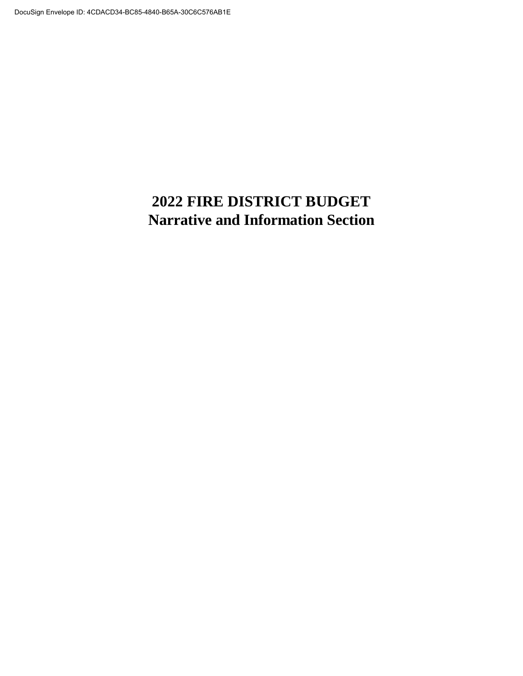### **2022 FIRE DISTRICT BUDGET Narrative and Information Section**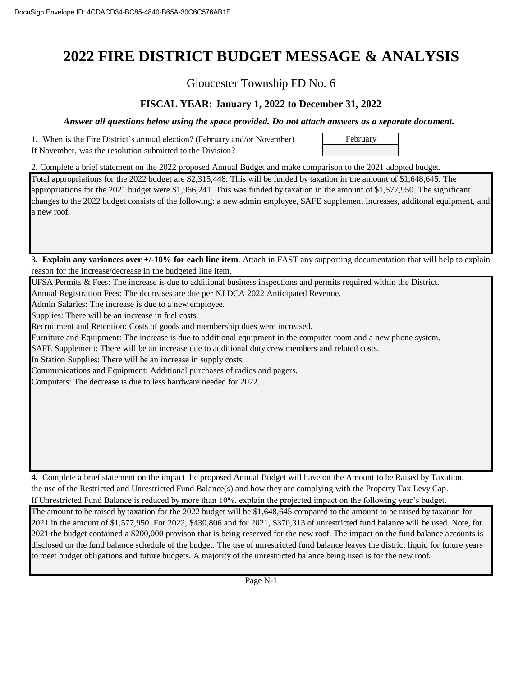### **2022 FIRE DISTRICT BUDGET MESSAGE & ANALYSIS**

### Gloucester Township FD No. 6

### **FISCAL YEAR: January 1, 2022 to December 31, 2022**

#### *Answer all questions below using the space provided. Do not attach answers as a separate document.*

**1.** When is the Fire District's annual election? (February and/or November) February If November, was the resolution submitted to the Division?

2. Complete a brief statement on the 2022 proposed Annual Budget and make comparison to the 2021 adopted budget.

Total appropriations for the 2022 budget are \$2,315,448. This will be funded by taxation in the amount of \$1,648,645. The appropriations for the 2021 budget were \$1,966,241. This was funded by taxation in the amount of \$1,577,950. The significant changes to the 2022 budget consists of the following: a new admin employee, SAFE supplement increases, additonal equipment, and a new roof.

**3. Explain any variances over +/-10% for each line item**. Attach in FAST any supporting documentation that will help to explain reason for the increase/decrease in the budgeted line item.

UFSA Permits & Fees: The increase is due to additional business inspections and permits required within the District.

Annual Registration Fees: The decreases are due per NJ DCA 2022 Anticipated Revenue.

Admin Salaries: The increase is due to a new employee.

Supplies: There will be an increase in fuel costs.

Recruitment and Retention: Costs of goods and membership dues were increased.

Furniture and Equipment: The increase is due to additional equipment in the computer room and a new phone system.

SAFE Supplement: There will be an increase due to additional duty crew members and related costs.

In Station Supplies: There will be an increase in supply costs.

Communications and Equipment: Additional purchases of radios and pagers.

Computers: The decrease is due to less hardware needed for 2022.

**4.** Complete a brief statement on the impact the proposed Annual Budget will have on the Amount to be Raised by Taxation, the use of the Restricted and Unrestricted Fund Balance(s) and how they are complying with the Property Tax Levy Cap. If Unrestricted Fund Balance is reduced by more than 10%, explain the projected impact on the following year's budget.

The amount to be raised by taxation for the 2022 budget will be \$1,648,645 compared to the amount to be raised by taxation for 2021 in the amount of \$1,577,950. For 2022, \$430,806 and for 2021, \$370,313 of unrestricted fund balance will be used. Note, for 2021 the budget contained a \$200,000 provison that is being reserved for the new roof. The impact on the fund balance accounts is disclosed on the fund balance schedule of the budget. The use of unrestricted fund balance leaves the district liquid for future years to meet budget obligations and future budgets. A majority of the unrestricted balance being used is for the new roof.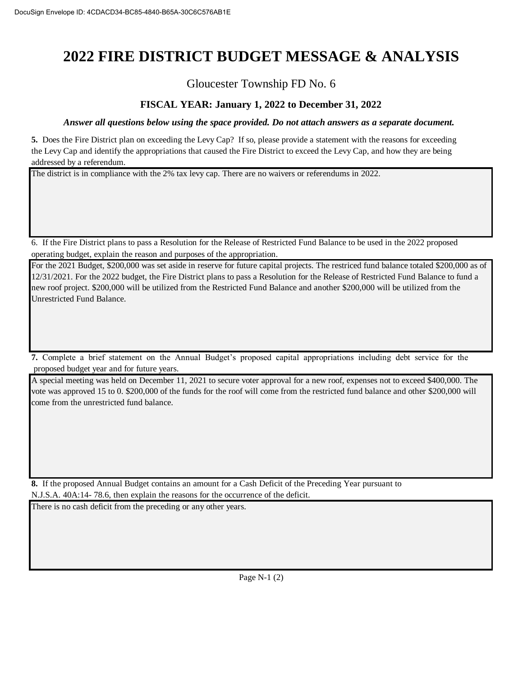### **2022 FIRE DISTRICT BUDGET MESSAGE & ANALYSIS**

### Gloucester Township FD No. 6

#### **FISCAL YEAR: January 1, 2022 to December 31, 2022**

#### *Answer all questions below using the space provided. Do not attach answers as a separate document.*

**5.** Does the Fire District plan on exceeding the Levy Cap? If so, please provide a statement with the reasons for exceeding the Levy Cap and identify the appropriations that caused the Fire District to exceed the Levy Cap, and how they are being addressed by a referendum.

The district is in compliance with the 2% tax levy cap. There are no waivers or referendums in 2022.

6. If the Fire District plans to pass a Resolution for the Release of Restricted Fund Balance to be used in the 2022 proposed operating budget, explain the reason and purposes of the appropriation.

For the 2021 Budget, \$200,000 was set aside in reserve for future capital projects. The restriced fund balance totaled \$200,000 as of 12/31/2021. For the 2022 budget, the Fire District plans to pass a Resolution for the Release of Restricted Fund Balance to fund a new roof project. \$200,000 will be utilized from the Restricted Fund Balance and another \$200,000 will be utilized from the Unrestricted Fund Balance.

**7.** Complete a brief statement on the Annual Budget's proposed capital appropriations including debt service for the proposed budget year and for future years.

A special meeting was held on December 11, 2021 to secure voter approval for a new roof, expenses not to exceed \$400,000. The vote was approved 15 to 0. \$200,000 of the funds for the roof will come from the restricted fund balance and other \$200,000 will come from the unrestricted fund balance.

**8.** If the proposed Annual Budget contains an amount for a Cash Deficit of the Preceding Year pursuant to N.J.S.A. 40A:14- 78.6, then explain the reasons for the occurrence of the deficit.

There is no cash deficit from the preceding or any other years.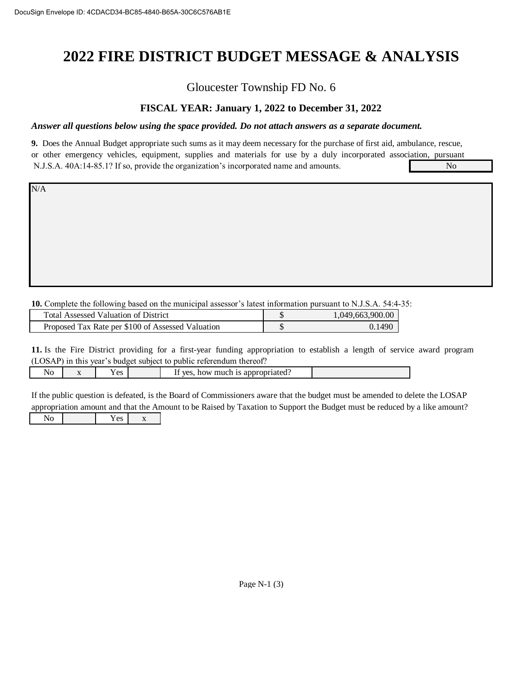### **2022 FIRE DISTRICT BUDGET MESSAGE & ANALYSIS**

### Gloucester Township FD No. 6

#### **FISCAL YEAR: January 1, 2022 to December 31, 2022**

#### *Answer all questions below using the space provided. Do not attach answers as a separate document.*

**9.** Does the Annual Budget appropriate such sums as it may deem necessary for the purchase of first aid, ambulance, rescue, or other emergency vehicles, equipment, supplies and materials for use by a duly incorporated association, pursuant N.J.S.A. 40A:14-85.1? If so, provide the organization's incorporated name and amounts. No

| N/A |  |  |
|-----|--|--|
|     |  |  |
|     |  |  |
|     |  |  |
|     |  |  |
|     |  |  |
|     |  |  |

**10.** Complete the following based on the municipal assessor's latest information pursuant to N.J.S.A. 54:4-35:

| Total Assessed Valuation of District              | 1,049,663,900.00 |
|---------------------------------------------------|------------------|
| Proposed Tax Rate per \$100 of Assessed Valuation | 0.1490           |

**11.** Is the Fire District providing for a first-year funding appropriation to establish a length of service award program (LOSAP) in this year's budget subject to public referendum thereof?

| $\mathbf{v}$<br>Ñ | . . | $ -$<br>$\alpha$<br>$\sim$ | - -<br><b>VAC</b><br><b>MAG 11</b><br>riated<br>l∩ ≘<br>าw<br>anni<br>ont<br>тнк<br>ш<br>. . |  |
|-------------------|-----|----------------------------|----------------------------------------------------------------------------------------------|--|
|                   |     |                            |                                                                                              |  |

If the public question is defeated, is the Board of Commissioners aware that the budget must be amended to delete the LOSAP appropriation amount and that the Amount to be Raised by Taxation to Support the Budget must be reduced by a like amount?

|  | . |    | . |  |
|--|---|----|---|--|
|  |   | -- |   |  |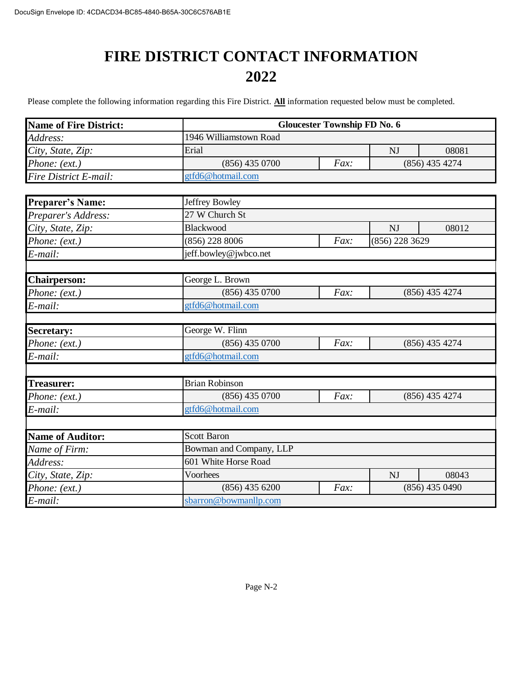### **FIRE DISTRICT CONTACT INFORMATION 2022**

Please complete the following information regarding this Fire District. **All** information requested below must be completed.

| <b>Name of Fire District:</b> |                         | <b>Gloucester Township FD No. 6</b> |           |                  |  |  |  |
|-------------------------------|-------------------------|-------------------------------------|-----------|------------------|--|--|--|
| Address:                      | 1946 Williamstown Road  |                                     |           |                  |  |  |  |
| City, State, Zip:             | Erial                   |                                     | <b>NJ</b> | 08081            |  |  |  |
| Phone: (ext.)                 | (856) 435 0700          | Fax:                                |           | $(856)$ 435 4274 |  |  |  |
| Fire District E-mail:         | gtfd6@hotmail.com       |                                     |           |                  |  |  |  |
|                               |                         |                                     |           |                  |  |  |  |
| <b>Preparer's Name:</b>       | Jeffrey Bowley          |                                     |           |                  |  |  |  |
| Preparer's Address:           | 27 W Church St          |                                     |           |                  |  |  |  |
| City, State, Zip:             | Blackwood               |                                     | NJ        | 08012            |  |  |  |
| Phone: (ext.)                 | $(856)$ 228 8006        | (856) 228 3629<br>Fax:              |           |                  |  |  |  |
| E-mail:                       | jeff.bowley@jwbco.net   |                                     |           |                  |  |  |  |
|                               |                         |                                     |           |                  |  |  |  |
| <b>Chairperson:</b>           | George L. Brown         |                                     |           |                  |  |  |  |
| Phone: (ext.)                 | (856) 435 0700          | Fax:                                |           |                  |  |  |  |
| E-mail:                       | gtfd6@hotmail.com       |                                     |           |                  |  |  |  |
|                               |                         |                                     |           |                  |  |  |  |
| <b>Secretary:</b>             | George W. Flinn         |                                     |           |                  |  |  |  |
| Phone: (ext.)                 | (856) 435 0700          | Fax:                                |           | (856) 435 4274   |  |  |  |
| E-mail:                       | gtfd6@hotmail.com       |                                     |           |                  |  |  |  |
|                               |                         |                                     |           |                  |  |  |  |
| <b>Treasurer:</b>             | Brian Robinson          |                                     |           |                  |  |  |  |
| Phone: (ext.)                 | (856) 435 0700          | Fax:                                |           | (856) 435 4274   |  |  |  |
| E-mail:                       | gtfd6@hotmail.com       |                                     |           |                  |  |  |  |
|                               |                         |                                     |           |                  |  |  |  |
| <b>Name of Auditor:</b>       | <b>Scott Baron</b>      |                                     |           |                  |  |  |  |
| Name of Firm:                 | Bowman and Company, LLP |                                     |           |                  |  |  |  |
| Address:                      | 601 White Horse Road    |                                     |           |                  |  |  |  |
| City, State, Zip:             | Voorhees                |                                     | <b>NJ</b> | 08043            |  |  |  |
| Phone: (ext.)                 | $(856)$ 435 6200        | $(856)$ 435 0490<br>Fax:            |           |                  |  |  |  |
| E-mail:                       | sbarron@bowmanllp.com   |                                     |           |                  |  |  |  |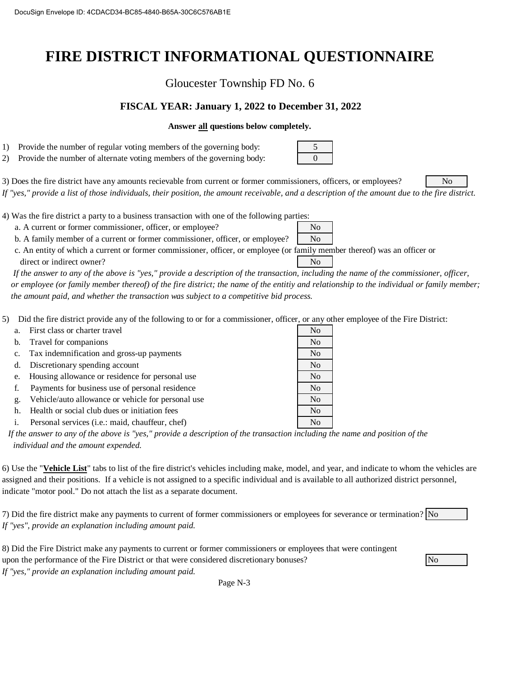### **FIRE DISTRICT INFORMATIONAL QUESTIONNAIRE**

Gloucester Township FD No. 6

#### **FISCAL YEAR: January 1, 2022 to December 31, 2022**

#### **Answer all questions below completely.**

|               |  |  |  | 1) Provide the number of regular voting members of the governing body: |  |  |  |  |
|---------------|--|--|--|------------------------------------------------------------------------|--|--|--|--|
| $\sim$ $\sim$ |  |  |  |                                                                        |  |  |  |  |

2) Provide the number of alternate voting members of the governing body:

3) Does the fire district have any amounts recievable from current or former commissioners, officers, or employees? No *If "yes," provide a list of those individuals, their position, the amount receivable, and a description of the amount due to the fire district.*

4) Was the fire district a party to a business transaction with one of the following parties:

- **a.** A current or former commissioner, officer, or employee? No
- **b.** A family member of a current or former commissioner, officer, or employee? No
- c. An entity of which a current or former commissioner, officer, or employee (or family member thereof) was an officer or direct or indirect owner? No

 *If the answer to any of the above is "yes," provide a description of the transaction, including the name of the commissioner, officer, or employee (or family member thereof) of the fire district; the name of the entitiy and relationship to the individual or family member; the amount paid, and whether the transaction was subject to a competitive bid process.* 

5) Did the fire district provide any of the following to or for a commissioner, officer, or any other employee of the Fire District:

| $a_{-}$        | First class or charter travel                            | N <sub>o</sub> |
|----------------|----------------------------------------------------------|----------------|
| b.             | Travel for companions                                    | N <sub>0</sub> |
|                | c. Tax indemnification and gross-up payments             | N <sub>0</sub> |
| d.             | Discretionary spending account                           | N <sub>o</sub> |
| e.             | Housing allowance or residence for personal use          | N <sub>0</sub> |
| f.             | Payments for business use of personal residence          | N <sub>o</sub> |
| g <sub>1</sub> | Vehicle/auto allowance or vehicle for personal use       | N <sub>0</sub> |
| h.             | Health or social club dues or initiation fees            | N <sub>0</sub> |
| i.             | Personal services ( <i>i.e.</i> : maid, chauffeur, chef) | No             |

*If the answer to any of the above is "yes," provide a description of the transaction including the name and position of the individual and the amount expended.* 

6) Use the "**Vehicle List**" tabs to list of the fire district's vehicles including make, model, and year, and indicate to whom the vehicles are assigned and their positions. If a vehicle is not assigned to a specific individual and is available to all authorized district personnel, indicate "motor pool." Do not attach the list as a separate document.

7) Did the fire district make any payments to current of former commissioners or employees for severance or termination? No *If "yes", provide an explanation including amount paid.* 

8) Did the Fire District make any payments to current or former commissioners or employees that were contingent upon the performance of the Fire District or that were considered discretionary bonuses? *If "yes," provide an explanation including amount paid.* 

Page N-3



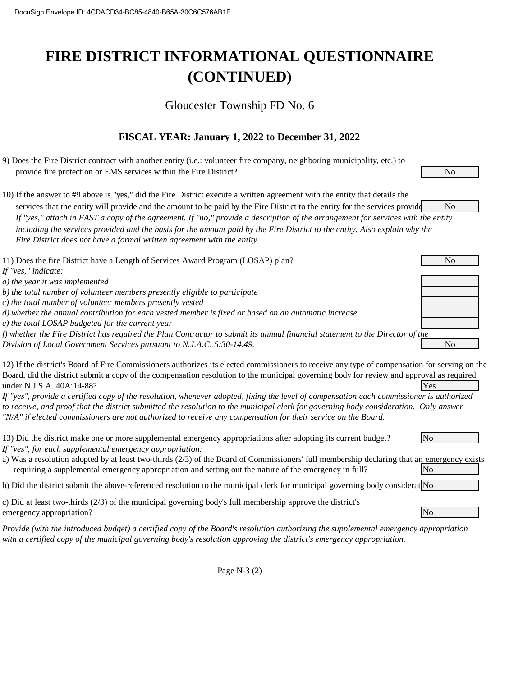### **FIRE DISTRICT INFORMATIONAL QUESTIONNAIRE (CONTINUED)**

Gloucester Township FD No. 6

#### **FISCAL YEAR: January 1, 2022 to December 31, 2022**

9) Does the Fire District contract with another entity (i.e.: volunteer fire company, neighboring municipality, etc.) to provide fire protection or EMS services within the Fire District? No

10) If the answer to #9 above is "yes," did the Fire District execute a written agreement with the entity that details the services that the entity will provide and the amount to be paid by the Fire District to the entity for the services provide  *If "yes," attach in FAST a copy of the agreement. If "no," provide a description of the arrangement for services with the entity including the services provided and the basis for the amount paid by the Fire District to the entity. Also explain why the Fire District does not have a formal written agreement with the entity.* 

| 11) Does the fire District have a Length of Services Award Program (LOSAP) plan?                                              | No             |
|-------------------------------------------------------------------------------------------------------------------------------|----------------|
| If "yes," indicate:                                                                                                           |                |
| a) the year it was implemented                                                                                                |                |
| b) the total number of volunteer members presently eligible to participate                                                    |                |
| c) the total number of volunteer members presently vested                                                                     |                |
| d) whether the annual contribution for each vested member is fixed or based on an automatic increase                          |                |
| e) the total LOSAP budgeted for the current year                                                                              |                |
| f) whether the Fire District has required the Plan Contractor to submit its annual financial statement to the Director of the |                |
| Division of Local Government Services pursuant to N.J.A.C. 5:30-14.49.                                                        | $\overline{N}$ |
|                                                                                                                               |                |

12) If the district's Board of Fire Commissioners authorizes its elected commissioners to receive any type of compensation for serving on the Board, did the district submit a copy of the compensation resolution to the municipal governing body for review and approval as required under N.J.S.A. 40A:14-88? Yes

*If "yes", provide a certified copy of the resolution, whenever adopted, fixing the level of compensation each commissioner is authorized to receive, and proof that the district submitted the resolution to the municipal clerk for governing body consideration. Only answer "N/A" if elected commissioners are not authorized to receive any compensation for their service on the Board.* 

- 13) Did the district make one or more supplemental emergency appropriations after adopting its current budget? No
- *If "yes", for each supplemental emergency appropriation:*
- a) Was a resolution adopted by at least two-thirds (2/3) of the Board of Commissioners' full membership declaring that an emergency exists requiring a supplemental emergency appropriation and setting out the nature of the emergency in full? No

b) Did the district submit the above-referenced resolution to the municipal clerk for municipal governing body considerat No

c) Did at least two-thirds (2/3) of the municipal governing body's full membership approve the district's emergency appropriation? No

*Provide (with the introduced budget) a certified copy of the Board's resolution authorizing the supplemental emergency appropriation with a certified copy of the municipal governing body's resolution approving the district's emergency appropriation.*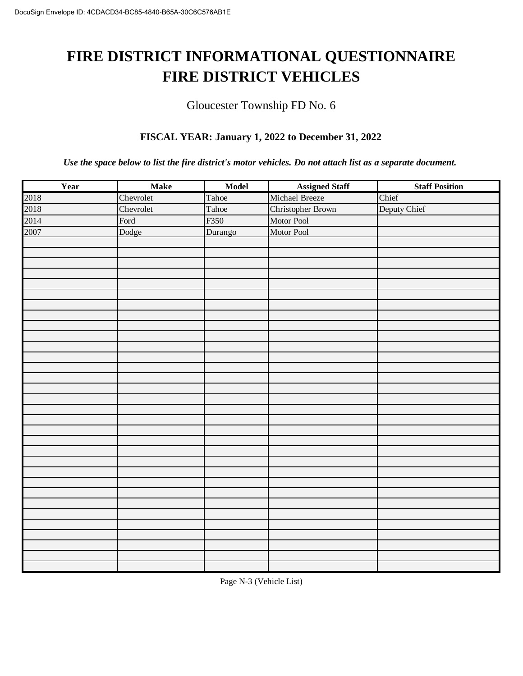### **FIRE DISTRICT INFORMATIONAL QUESTIONNAIRE FIRE DISTRICT VEHICLES**

Gloucester Township FD No. 6

#### **FISCAL YEAR: January 1, 2022 to December 31, 2022**

*Use the space below to list the fire district's motor vehicles. Do not attach list as a separate document.* 

| Year | <b>Make</b> | <b>Model</b> | <b>Assigned Staff</b> | <b>Staff Position</b> |
|------|-------------|--------------|-----------------------|-----------------------|
| 2018 | Chevrolet   | Tahoe        | Michael Breeze        | Chief                 |
| 2018 | Chevrolet   | Tahoe        | Christopher Brown     | Deputy Chief          |
| 2014 | Ford        | F350         | Motor Pool            |                       |
| 2007 | Dodge       | Durango      | Motor Pool            |                       |
|      |             |              |                       |                       |
|      |             |              |                       |                       |
|      |             |              |                       |                       |
|      |             |              |                       |                       |
|      |             |              |                       |                       |
|      |             |              |                       |                       |
|      |             |              |                       |                       |
|      |             |              |                       |                       |
|      |             |              |                       |                       |
|      |             |              |                       |                       |
|      |             |              |                       |                       |
|      |             |              |                       |                       |
|      |             |              |                       |                       |
|      |             |              |                       |                       |
|      |             |              |                       |                       |
|      |             |              |                       |                       |
|      |             |              |                       |                       |
|      |             |              |                       |                       |
|      |             |              |                       |                       |
|      |             |              |                       |                       |
|      |             |              |                       |                       |
|      |             |              |                       |                       |
|      |             |              |                       |                       |
|      |             |              |                       |                       |
|      |             |              |                       |                       |
|      |             |              |                       |                       |
|      |             |              |                       |                       |
|      |             |              |                       |                       |
|      |             |              |                       |                       |
|      |             |              |                       |                       |
|      |             |              |                       |                       |

Page N-3 (Vehicle List)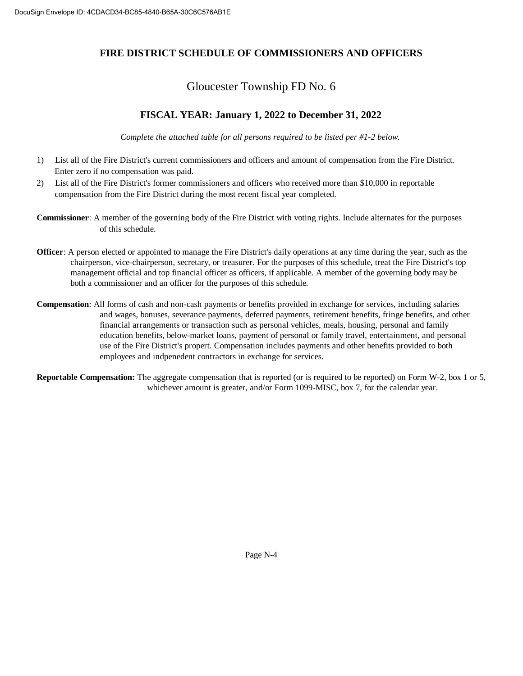#### **FIRE DISTRICT SCHEDULE OF COMMISSIONERS AND OFFICERS**

### Gloucester Township FD No. 6

#### **FISCAL YEAR: January 1, 2022 to December 31, 2022**

*Complete the attached table for all persons required to be listed per #1-2 below.*

- 1) List all of the Fire District's current commissioners and officers and amount of compensation from the Fire District. Enter zero if no compensation was paid.
- 2) List all of the Fire District's former commissioners and officers who received more than \$10,000 in reportable compensation from the Fire District during the most recent fiscal year completed.
- **Commissioner**: A member of the governing body of the Fire District with voting rights. Include alternates for the purposes of this schedule.
- **Officer**: A person elected or appointed to manage the Fire District's daily operations at any time during the year, such as the chairperson, vice-chairperson, secretary, or treasurer. For the purposes of this schedule, treat the Fire District's top management official and top financial officer as officers, if applicable. A member of the governing body may be both a commissioner and an officer for the purposes of this schedule.
- **Compensation**: All forms of cash and non-cash payments or benefits provided in exchange for services, including salaries and wages, bonuses, severance payments, deferred payments, retirement benefits, fringe benefits, and other financial arrangements or transaction such as personal vehicles, meals, housing, personal and family education benefits, below-market loans, payment of personal or family travel, entertainment, and personal use of the Fire District's propert. Compensation includes payments and other benefits provided to both employees and indpenedent contractors in exchange for services.

**Reportable Compensation:** The aggregate compensation that is reported (or is required to be reported) on Form W-2, box 1 or 5, whichever amount is greater, and/or Form 1099-MISC, box 7, for the calendar year.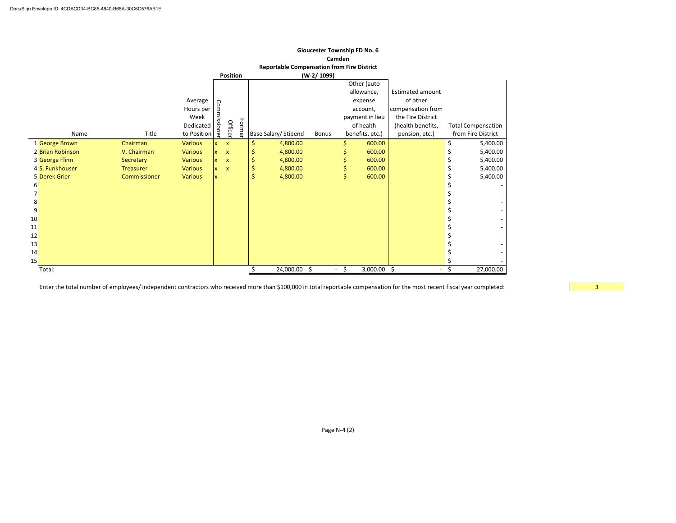|    |                  |                  |                | <b>Gloucester Township FD No. 6</b><br>Camden<br><b>Reportable Compensation from Fire District</b> |                           |        |    |                      |    |              |    |                 |                         |    |                           |
|----|------------------|------------------|----------------|----------------------------------------------------------------------------------------------------|---------------------------|--------|----|----------------------|----|--------------|----|-----------------|-------------------------|----|---------------------------|
|    |                  |                  |                |                                                                                                    | <b>Position</b>           |        |    |                      |    | $(W-2/1099)$ |    |                 |                         |    |                           |
|    |                  |                  |                |                                                                                                    |                           |        |    |                      |    |              |    | Other (auto     |                         |    |                           |
|    |                  |                  |                |                                                                                                    |                           |        |    |                      |    |              |    | allowance,      | <b>Estimated amount</b> |    |                           |
|    |                  |                  | Average        |                                                                                                    |                           |        |    |                      |    |              |    | expense         | of other                |    |                           |
|    |                  |                  | Hours per      |                                                                                                    |                           |        |    |                      |    |              |    | account,        | compensation from       |    |                           |
|    |                  |                  | Week           |                                                                                                    |                           |        |    |                      |    |              |    | payment in lieu | the Fire District       |    |                           |
|    |                  |                  | Dedicated      | Commissioner                                                                                       | Officer                   | Former |    |                      |    |              |    | of health       | (health benefits,       |    | <b>Total Compensation</b> |
|    | Name             | Title            | to Position    |                                                                                                    |                           |        |    | Base Salary/ Stipend |    | <b>Bonus</b> |    | benefits, etc.) | pension, etc.)          |    | from Fire District        |
|    | 1 George Brown   | Chairman         | <b>Various</b> | $\mathsf{X}^-$                                                                                     | $\mathbf{x}$              |        | \$ | 4,800.00             |    |              |    | 600.00          |                         |    | 5,400.00                  |
|    | 2 Brian Robinson | V. Chairman      | <b>Various</b> | $\mathsf{x}$                                                                                       | $\boldsymbol{\mathsf{x}}$ |        |    | 4,800.00             |    |              |    | 600.00          |                         |    | 5,400.00                  |
|    | 3 George Flinn   | Secretary        | <b>Various</b> | $\mathbf{x}$                                                                                       | $\boldsymbol{\mathsf{x}}$ |        |    | 4,800.00             |    |              |    | 600.00          |                         |    | 5,400.00                  |
|    | 4 S. Funkhouser  | <b>Treasurer</b> | <b>Various</b> | $\mathsf{x}$                                                                                       | $\boldsymbol{\mathsf{x}}$ |        | \$ | 4,800.00             |    |              |    | 600.00          |                         |    | 5,400.00                  |
|    | 5 Derek Grier    | Commissioner     | <b>Various</b> | $\mathsf{x}$                                                                                       |                           |        | \$ | 4,800.00             |    |              | Ś  | 600.00          |                         |    | 5,400.00                  |
| 6  |                  |                  |                |                                                                                                    |                           |        |    |                      |    |              |    |                 |                         |    |                           |
|    |                  |                  |                |                                                                                                    |                           |        |    |                      |    |              |    |                 |                         |    |                           |
|    |                  |                  |                |                                                                                                    |                           |        |    |                      |    |              |    |                 |                         |    |                           |
| 9  |                  |                  |                |                                                                                                    |                           |        |    |                      |    |              |    |                 |                         |    |                           |
| 10 |                  |                  |                |                                                                                                    |                           |        |    |                      |    |              |    |                 |                         |    |                           |
| 11 |                  |                  |                |                                                                                                    |                           |        |    |                      |    |              |    |                 |                         |    |                           |
| 12 |                  |                  |                |                                                                                                    |                           |        |    |                      |    |              |    |                 |                         |    |                           |
| 13 |                  |                  |                |                                                                                                    |                           |        |    |                      |    |              |    |                 |                         |    |                           |
| 14 |                  |                  |                |                                                                                                    |                           |        |    |                      |    |              |    |                 |                         |    |                           |
| 15 |                  |                  |                |                                                                                                    |                           |        |    |                      |    |              |    |                 |                         |    |                           |
|    | Total:           |                  |                |                                                                                                    |                           |        |    | 24,000.00            | \$ | $\sim$ $-$   | \$ | $3,000.00$ \$   |                         | \$ | 27,000.00                 |

Enter the total number of employees/ independent contractors who received more than \$100,000 in total reportable compensation for the most recent fiscal year completed: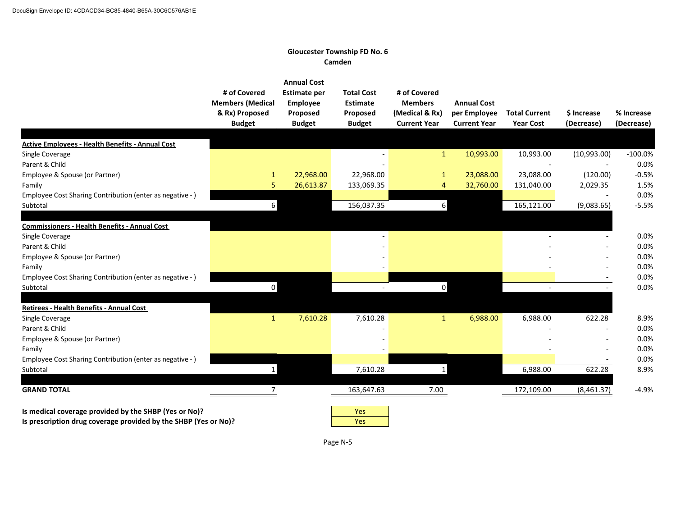|                                                           | # of Covered<br><b>Members (Medical</b><br>& Rx) Proposed<br><b>Budget</b> | <b>Annual Cost</b><br><b>Estimate per</b><br><b>Employee</b><br>Proposed<br><b>Budget</b> | <b>Total Cost</b><br><b>Estimate</b><br>Proposed<br><b>Budget</b> | # of Covered<br><b>Members</b><br>(Medical & Rx)<br><b>Current Year</b> | <b>Annual Cost</b><br>per Employee<br><b>Current Year</b> | <b>Total Current</b><br><b>Year Cost</b> | \$ Increase<br>(Decrease) | % Increase<br>(Decrease) |
|-----------------------------------------------------------|----------------------------------------------------------------------------|-------------------------------------------------------------------------------------------|-------------------------------------------------------------------|-------------------------------------------------------------------------|-----------------------------------------------------------|------------------------------------------|---------------------------|--------------------------|
| <b>Active Employees - Health Benefits - Annual Cost</b>   |                                                                            |                                                                                           |                                                                   |                                                                         |                                                           |                                          |                           |                          |
| Single Coverage                                           |                                                                            |                                                                                           |                                                                   | $\mathbf{1}$                                                            | 10,993.00                                                 | 10,993.00                                | (10,993.00)               | $-100.0%$                |
| Parent & Child                                            |                                                                            |                                                                                           |                                                                   |                                                                         |                                                           |                                          |                           | 0.0%                     |
| Employee & Spouse (or Partner)                            | $\mathbf{1}$                                                               | 22,968.00                                                                                 | 22,968.00                                                         | $\mathbf{1}$                                                            | 23,088.00                                                 | 23,088.00                                | (120.00)                  | $-0.5%$                  |
| Family                                                    | 5.                                                                         | 26,613.87                                                                                 | 133,069.35                                                        | $\overline{4}$                                                          | 32,760.00                                                 | 131,040.00                               | 2,029.35                  | 1.5%                     |
| Employee Cost Sharing Contribution (enter as negative - ) |                                                                            |                                                                                           |                                                                   |                                                                         |                                                           |                                          |                           | 0.0%                     |
| Subtotal                                                  | $6 \mid$                                                                   |                                                                                           | 156,037.35                                                        | $6 \mid$                                                                |                                                           | 165,121.00                               | (9,083.65)                | $-5.5%$                  |
|                                                           |                                                                            |                                                                                           |                                                                   |                                                                         |                                                           |                                          |                           |                          |
| <b>Commissioners - Health Benefits - Annual Cost</b>      |                                                                            |                                                                                           |                                                                   |                                                                         |                                                           |                                          |                           |                          |
| Single Coverage                                           |                                                                            |                                                                                           |                                                                   |                                                                         |                                                           |                                          |                           | 0.0%                     |
| Parent & Child                                            |                                                                            |                                                                                           |                                                                   |                                                                         |                                                           |                                          |                           | 0.0%                     |
| Employee & Spouse (or Partner)                            |                                                                            |                                                                                           |                                                                   |                                                                         |                                                           |                                          |                           | 0.0%                     |
| Family                                                    |                                                                            |                                                                                           |                                                                   |                                                                         |                                                           |                                          |                           | 0.0%                     |
| Employee Cost Sharing Contribution (enter as negative - ) |                                                                            |                                                                                           |                                                                   |                                                                         |                                                           |                                          |                           | 0.0%                     |
| Subtotal                                                  | $\overline{0}$                                                             |                                                                                           |                                                                   | $\overline{0}$                                                          |                                                           | $\overline{\phantom{a}}$                 |                           | 0.0%                     |
|                                                           |                                                                            |                                                                                           |                                                                   |                                                                         |                                                           |                                          |                           |                          |
| <b>Retirees - Health Benefits - Annual Cost</b>           |                                                                            |                                                                                           |                                                                   |                                                                         |                                                           |                                          |                           |                          |
| Single Coverage                                           | $\mathbf{1}$                                                               | 7,610.28                                                                                  | 7,610.28                                                          | $\mathbf{1}$                                                            | 6,988.00                                                  | 6,988.00                                 | 622.28                    | 8.9%                     |
| Parent & Child                                            |                                                                            |                                                                                           |                                                                   |                                                                         |                                                           |                                          |                           | 0.0%                     |
| Employee & Spouse (or Partner)                            |                                                                            |                                                                                           |                                                                   |                                                                         |                                                           |                                          |                           | 0.0%                     |
| Family                                                    |                                                                            |                                                                                           |                                                                   |                                                                         |                                                           |                                          |                           | 0.0%                     |
| Employee Cost Sharing Contribution (enter as negative - ) |                                                                            |                                                                                           |                                                                   |                                                                         |                                                           |                                          |                           | 0.0%                     |
| Subtotal                                                  |                                                                            |                                                                                           | 7,610.28                                                          | $1\vert$                                                                |                                                           | 6,988.00                                 | 622.28                    | 8.9%                     |
|                                                           |                                                                            |                                                                                           |                                                                   |                                                                         |                                                           |                                          |                           |                          |
| <b>GRAND TOTAL</b>                                        | $\overline{7}$                                                             |                                                                                           | 163,647.63                                                        | 7.00                                                                    |                                                           | 172,109.00                               | (8,461.37)                | $-4.9%$                  |
| Is medical coverage provided by the SHBP (Yes or No)?     |                                                                            |                                                                                           | Yes                                                               |                                                                         |                                                           |                                          |                           |                          |

**Is prescription drug coverage provided by the SHBP (Yes or No)?**

| <b>PS</b>       |  |
|-----------------|--|
| <b>PS</b><br>54 |  |

Page N-5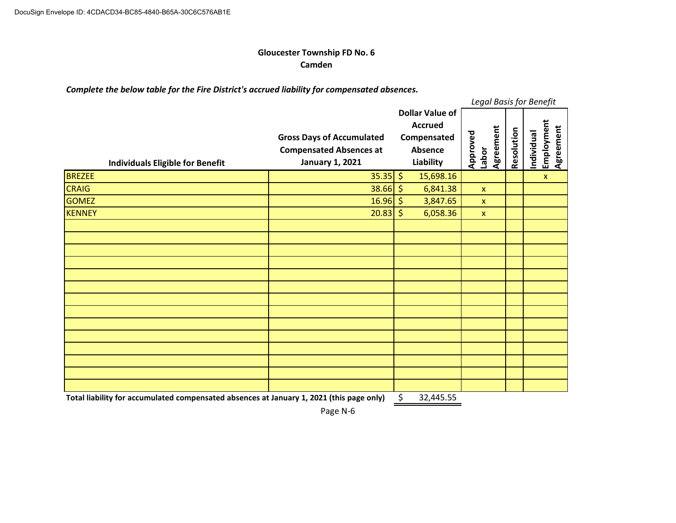*Complete the below table for the Fire District's accrued liability for compensated absences.* 

|                                         |                                  |                        | Legal Basis for Benefit        |            |                                       |
|-----------------------------------------|----------------------------------|------------------------|--------------------------------|------------|---------------------------------------|
|                                         |                                  | <b>Dollar Value of</b> |                                |            |                                       |
|                                         |                                  | <b>Accrued</b>         |                                |            |                                       |
|                                         | <b>Gross Days of Accumulated</b> | Compensated            |                                |            |                                       |
|                                         | <b>Compensated Absences at</b>   | Absence                |                                |            |                                       |
| <b>Individuals Eligible for Benefit</b> | <b>January 1, 2021</b>           | Liability              | Agreement<br>Approved<br>Labor | Resolution | Employment<br>Agreement<br>Individual |
| <b>BREZEE</b>                           | $35.35$ \$                       | 15,698.16              |                                |            | $\pmb{\mathsf{x}}$                    |
| <b>CRAIG</b>                            | $38.66$ \$                       | 6,841.38               | $\boldsymbol{\mathsf{X}}$      |            |                                       |
| <b>GOMEZ</b>                            | $16.96$ \$                       | 3,847.65               | $\pmb{\mathsf{x}}$             |            |                                       |
| <b>KENNEY</b>                           | $20.83$ \$                       | 6,058.36               | $\mathbf{x}$                   |            |                                       |
|                                         |                                  |                        |                                |            |                                       |
|                                         |                                  |                        |                                |            |                                       |
|                                         |                                  |                        |                                |            |                                       |
|                                         |                                  |                        |                                |            |                                       |
|                                         |                                  |                        |                                |            |                                       |
|                                         |                                  |                        |                                |            |                                       |
|                                         |                                  |                        |                                |            |                                       |
|                                         |                                  |                        |                                |            |                                       |
|                                         |                                  |                        |                                |            |                                       |
|                                         |                                  |                        |                                |            |                                       |
|                                         |                                  |                        |                                |            |                                       |
|                                         |                                  |                        |                                |            |                                       |
|                                         |                                  |                        |                                |            |                                       |
|                                         |                                  |                        |                                |            |                                       |

Total liability for accumulated compensated absences at January 1, 2021 (this page only) \$ 32,445.55

Page N-6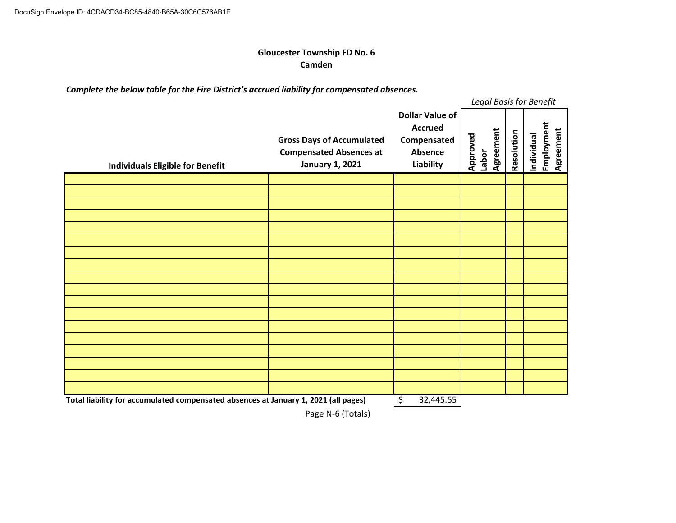*Complete the below table for the Fire District's accrued liability for compensated absences.* 

|                                                                                     |                                                                                              |                                                                                 |                                |            | Legal Basis for Benefit               |
|-------------------------------------------------------------------------------------|----------------------------------------------------------------------------------------------|---------------------------------------------------------------------------------|--------------------------------|------------|---------------------------------------|
| <b>Individuals Eligible for Benefit</b>                                             | <b>Gross Days of Accumulated</b><br><b>Compensated Absences at</b><br><b>January 1, 2021</b> | <b>Dollar Value of</b><br><b>Accrued</b><br>Compensated<br>Absence<br>Liability | Agreement<br>Approved<br>Labor | Resolution | Individual<br>Employment<br>Agreement |
|                                                                                     |                                                                                              |                                                                                 |                                |            |                                       |
|                                                                                     |                                                                                              |                                                                                 |                                |            |                                       |
|                                                                                     |                                                                                              |                                                                                 |                                |            |                                       |
|                                                                                     |                                                                                              |                                                                                 |                                |            |                                       |
|                                                                                     |                                                                                              |                                                                                 |                                |            |                                       |
|                                                                                     |                                                                                              |                                                                                 |                                |            |                                       |
|                                                                                     |                                                                                              |                                                                                 |                                |            |                                       |
|                                                                                     |                                                                                              |                                                                                 |                                |            |                                       |
|                                                                                     |                                                                                              |                                                                                 |                                |            |                                       |
|                                                                                     |                                                                                              |                                                                                 |                                |            |                                       |
|                                                                                     |                                                                                              |                                                                                 |                                |            |                                       |
|                                                                                     |                                                                                              |                                                                                 |                                |            |                                       |
|                                                                                     |                                                                                              |                                                                                 |                                |            |                                       |
|                                                                                     |                                                                                              |                                                                                 |                                |            |                                       |
|                                                                                     |                                                                                              |                                                                                 |                                |            |                                       |
|                                                                                     |                                                                                              |                                                                                 |                                |            |                                       |
| Total liability for accumulated compensated absences at January 1, 2021 (all pages) |                                                                                              | \$<br>32,445.55                                                                 |                                |            |                                       |

Page N-6 (Totals)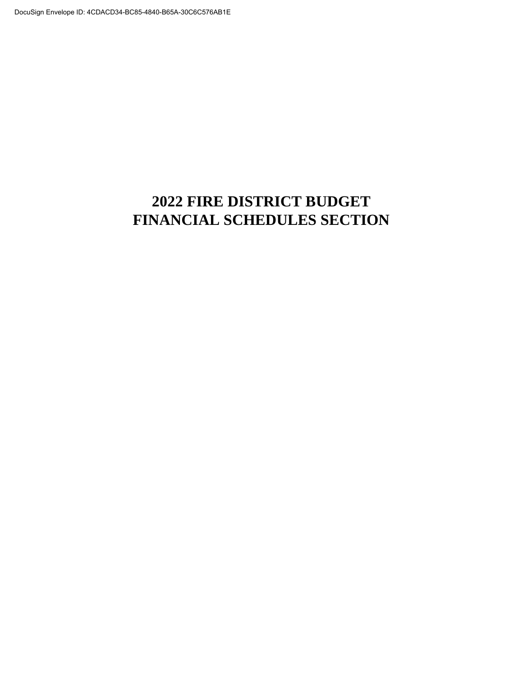### **2022 FIRE DISTRICT BUDGET FINANCIAL SCHEDULES SECTION**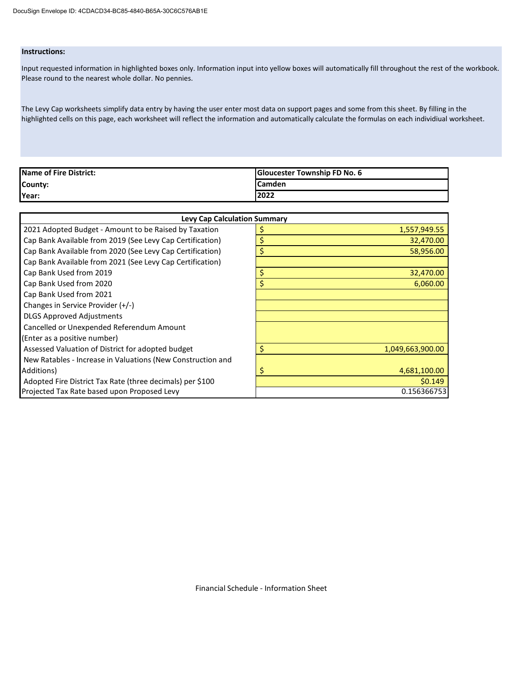#### **Instructions:**

Input requested information in highlighted boxes only. Information input into yellow boxes will automatically fill throughout the rest of the workbook. Please round to the nearest whole dollar. No pennies.

The Levy Cap worksheets simplify data entry by having the user enter most data on support pages and some from this sheet. By filling in the highlighted cells on this page, each worksheet will reflect the information and automatically calculate the formulas on each individiual worksheet.

| Name of Fire District: | <b>Gloucester Township FD No. 6</b> |
|------------------------|-------------------------------------|
| County:                | <b>ICamden</b>                      |
| <b>Year:</b>           | 2022                                |

| <b>Levy Cap Calculation Summary</b>                         |                    |  |  |  |  |  |  |
|-------------------------------------------------------------|--------------------|--|--|--|--|--|--|
| 2021 Adopted Budget - Amount to be Raised by Taxation       | 1,557,949.55       |  |  |  |  |  |  |
| Cap Bank Available from 2019 (See Levy Cap Certification)   | 32,470.00          |  |  |  |  |  |  |
| Cap Bank Available from 2020 (See Levy Cap Certification)   | \$<br>58,956.00    |  |  |  |  |  |  |
| Cap Bank Available from 2021 (See Levy Cap Certification)   |                    |  |  |  |  |  |  |
| Cap Bank Used from 2019                                     | 32,470.00          |  |  |  |  |  |  |
| Cap Bank Used from 2020                                     | 6,060.00           |  |  |  |  |  |  |
| Cap Bank Used from 2021                                     |                    |  |  |  |  |  |  |
| Changes in Service Provider (+/-)                           |                    |  |  |  |  |  |  |
| <b>DLGS Approved Adjustments</b>                            |                    |  |  |  |  |  |  |
| Cancelled or Unexpended Referendum Amount                   |                    |  |  |  |  |  |  |
| (Enter as a positive number)                                |                    |  |  |  |  |  |  |
| Assessed Valuation of District for adopted budget           | 1,049,663,900.00   |  |  |  |  |  |  |
| New Ratables - Increase in Valuations (New Construction and |                    |  |  |  |  |  |  |
| Additions)                                                  | \$<br>4,681,100.00 |  |  |  |  |  |  |
| Adopted Fire District Tax Rate (three decimals) per \$100   | \$0.149            |  |  |  |  |  |  |
| Projected Tax Rate based upon Proposed Levy                 | 0.156366753        |  |  |  |  |  |  |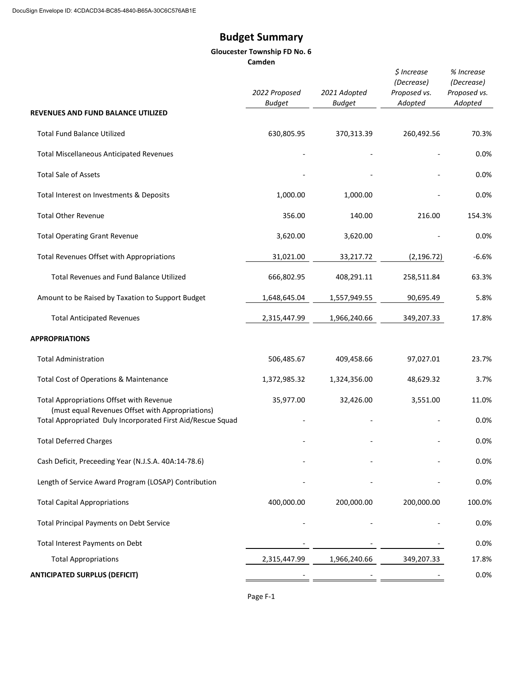### **Budget Summary**

### **Gloucester Township FD No. 6**

**Camden**

|                                                                                                                 | 2022 Proposed<br><b>Budget</b> | 2021 Adopted<br><b>Budget</b> | \$ Increase<br>(Decrease)<br>Proposed vs.<br>Adopted | % Increase<br>(Decrease)<br>Proposed vs.<br>Adopted |
|-----------------------------------------------------------------------------------------------------------------|--------------------------------|-------------------------------|------------------------------------------------------|-----------------------------------------------------|
| <b>REVENUES AND FUND BALANCE UTILIZED</b>                                                                       |                                |                               |                                                      |                                                     |
| <b>Total Fund Balance Utilized</b>                                                                              | 630,805.95                     | 370,313.39                    | 260,492.56                                           | 70.3%                                               |
| <b>Total Miscellaneous Anticipated Revenues</b>                                                                 |                                |                               |                                                      | 0.0%                                                |
| <b>Total Sale of Assets</b>                                                                                     |                                |                               |                                                      | 0.0%                                                |
| Total Interest on Investments & Deposits                                                                        | 1,000.00                       | 1,000.00                      |                                                      | 0.0%                                                |
| <b>Total Other Revenue</b>                                                                                      | 356.00                         | 140.00                        | 216.00                                               | 154.3%                                              |
| <b>Total Operating Grant Revenue</b>                                                                            | 3,620.00                       | 3,620.00                      |                                                      | 0.0%                                                |
| <b>Total Revenues Offset with Appropriations</b>                                                                | 31,021.00                      | 33,217.72                     | (2, 196.72)                                          | $-6.6%$                                             |
| <b>Total Revenues and Fund Balance Utilized</b>                                                                 | 666,802.95                     | 408,291.11                    | 258,511.84                                           | 63.3%                                               |
| Amount to be Raised by Taxation to Support Budget                                                               | 1,648,645.04                   | 1,557,949.55                  | 90,695.49                                            | 5.8%                                                |
| <b>Total Anticipated Revenues</b>                                                                               | 2,315,447.99                   | 1,966,240.66                  | 349,207.33                                           | 17.8%                                               |
| <b>APPROPRIATIONS</b>                                                                                           |                                |                               |                                                      |                                                     |
| <b>Total Administration</b>                                                                                     | 506,485.67                     | 409,458.66                    | 97,027.01                                            | 23.7%                                               |
| Total Cost of Operations & Maintenance                                                                          | 1,372,985.32                   | 1,324,356.00                  | 48,629.32                                            | 3.7%                                                |
| <b>Total Appropriations Offset with Revenue</b>                                                                 | 35,977.00                      | 32,426.00                     | 3,551.00                                             | 11.0%                                               |
| (must equal Revenues Offset with Appropriations)<br>Total Appropriated Duly Incorporated First Aid/Rescue Squad |                                |                               |                                                      | 0.0%                                                |
| <b>Total Deferred Charges</b>                                                                                   |                                |                               |                                                      | 0.0%                                                |
| Cash Deficit, Preceeding Year (N.J.S.A. 40A:14-78.6)                                                            |                                |                               |                                                      | 0.0%                                                |
| Length of Service Award Program (LOSAP) Contribution                                                            |                                |                               |                                                      | 0.0%                                                |
| <b>Total Capital Appropriations</b>                                                                             | 400,000.00                     | 200,000.00                    | 200,000.00                                           | 100.0%                                              |
| <b>Total Principal Payments on Debt Service</b>                                                                 |                                |                               |                                                      | 0.0%                                                |
| Total Interest Payments on Debt                                                                                 |                                |                               |                                                      | 0.0%                                                |
| <b>Total Appropriations</b>                                                                                     | 2,315,447.99                   | 1,966,240.66                  | 349,207.33                                           | 17.8%                                               |
| <b>ANTICIPATED SURPLUS (DEFICIT)</b>                                                                            |                                |                               |                                                      | 0.0%                                                |

Page F-1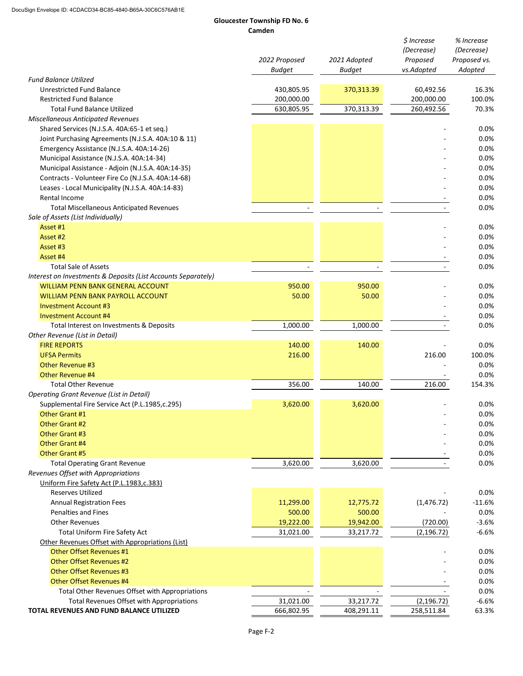| <b>Fund Balance Utilized</b><br><b>Unrestricted Fund Balance</b><br>370,313.39<br>16.3%<br>430,805.95<br>60,492.56<br>100.0%<br><b>Restricted Fund Balance</b><br>200,000.00<br>200,000.00<br><b>Total Fund Balance Utilized</b><br>70.3%<br>630,805.95<br>370,313.39<br>260,492.56<br>Miscellaneous Anticipated Revenues<br>Shared Services (N.J.S.A. 40A:65-1 et seq.)<br>0.0%<br>Joint Purchasing Agreements (N.J.S.A. 40A:10 & 11)<br>0.0%<br>Emergency Assistance (N.J.S.A. 40A:14-26)<br>0.0%<br>Municipal Assistance (N.J.S.A. 40A:14-34)<br>0.0%<br>0.0%<br>Municipal Assistance - Adjoin (N.J.S.A. 40A:14-35)<br>Contracts - Volunteer Fire Co (N.J.S.A. 40A:14-68)<br>0.0%<br>Leases - Local Municipality (N.J.S.A. 40A:14-83)<br>0.0%<br>Rental Income<br>0.0%<br>0.0%<br><b>Total Miscellaneous Anticipated Revenues</b><br>Sale of Assets (List Individually)<br>Asset #1<br>0.0%<br>Asset #2<br>0.0%<br>Asset #3<br>0.0%<br>0.0%<br>Asset #4<br><b>Total Sale of Assets</b><br>0.0%<br>Interest on Investments & Deposits (List Accounts Separately)<br>950.00<br>WILLIAM PENN BANK GENERAL ACCOUNT<br>950.00<br>0.0%<br>50.00<br>50.00<br>0.0%<br><b>WILLIAM PENN BANK PAYROLL ACCOUNT</b><br>0.0%<br><b>Investment Account #3</b><br>0.0%<br><b>Investment Account #4</b><br>1,000.00<br>0.0%<br>Total Interest on Investments & Deposits<br>1,000.00<br>Other Revenue (List in Detail)<br><b>FIRE REPORTS</b><br>140.00<br>140.00<br>0.0%<br>216.00<br>100.0%<br><b>UFSA Permits</b><br>216.00<br><b>Other Revenue #3</b><br>0.0%<br><b>Other Revenue #4</b><br>0.0%<br><b>Total Other Revenue</b><br>356.00<br>140.00<br>216.00<br>154.3%<br><b>Operating Grant Revenue (List in Detail)</b><br>Supplemental Fire Service Act (P.L.1985,c.295)<br>3,620.00<br>3,620.00<br>0.0%<br>Other Grant #1<br>0.0%<br>Other Grant #2<br>0.0%<br>Other Grant #3<br>0.0%<br>Other Grant #4<br>0.0%<br>0.0%<br><b>Other Grant #5</b><br>3,620.00<br>3,620.00<br>0.0%<br><b>Total Operating Grant Revenue</b><br>Revenues Offset with Appropriations<br>Uniform Fire Safety Act (P.L.1983,c.383)<br><b>Reserves Utilized</b><br>0.0%<br><b>Annual Registration Fees</b><br>(1,476.72)<br>$-11.6%$<br>11,299.00<br>12,775.72<br>Penalties and Fines<br>0.0%<br>500.00<br>500.00<br><b>Other Revenues</b><br>19,222.00<br>19,942.00<br>(720.00)<br>$-3.6%$<br><b>Total Uniform Fire Safety Act</b><br>31,021.00<br>33,217.72<br>(2, 196.72)<br>$-6.6%$<br>Other Revenues Offset with Appropriations (List)<br>Other Offset Revenues #1<br>0.0%<br>Other Offset Revenues #2<br>0.0%<br><b>Other Offset Revenues #3</b><br>0.0%<br>Other Offset Revenues #4<br>0.0%<br>Total Other Revenues Offset with Appropriations<br>0.0%<br>Total Revenues Offset with Appropriations<br>31,021.00<br>33,217.72<br>$-6.6%$<br>(2, 196.72)<br>666,802.95<br>258,511.84<br>TOTAL REVENUES AND FUND BALANCE UTILIZED<br>408,291.11<br>63.3% | 2022 Proposed<br><b>Budget</b> | 2021 Adopted<br><b>Budget</b> | $$$ Increase<br>(Decrease)<br>Proposed<br>vs.Adopted | % Increase<br>(Decrease)<br>Proposed vs.<br>Adopted |
|--------------------------------------------------------------------------------------------------------------------------------------------------------------------------------------------------------------------------------------------------------------------------------------------------------------------------------------------------------------------------------------------------------------------------------------------------------------------------------------------------------------------------------------------------------------------------------------------------------------------------------------------------------------------------------------------------------------------------------------------------------------------------------------------------------------------------------------------------------------------------------------------------------------------------------------------------------------------------------------------------------------------------------------------------------------------------------------------------------------------------------------------------------------------------------------------------------------------------------------------------------------------------------------------------------------------------------------------------------------------------------------------------------------------------------------------------------------------------------------------------------------------------------------------------------------------------------------------------------------------------------------------------------------------------------------------------------------------------------------------------------------------------------------------------------------------------------------------------------------------------------------------------------------------------------------------------------------------------------------------------------------------------------------------------------------------------------------------------------------------------------------------------------------------------------------------------------------------------------------------------------------------------------------------------------------------------------------------------------------------------------------------------------------------------------------------------------------------------------------------------------------------------------------------------------------------------------------------------------------------------------------------------------------------------------------------------------------------------------------------------------------------------------------------------------------------------------------------------------------------------------------------------------------------------------|--------------------------------|-------------------------------|------------------------------------------------------|-----------------------------------------------------|
|                                                                                                                                                                                                                                                                                                                                                                                                                                                                                                                                                                                                                                                                                                                                                                                                                                                                                                                                                                                                                                                                                                                                                                                                                                                                                                                                                                                                                                                                                                                                                                                                                                                                                                                                                                                                                                                                                                                                                                                                                                                                                                                                                                                                                                                                                                                                                                                                                                                                                                                                                                                                                                                                                                                                                                                                                                                                                                                                |                                |                               |                                                      |                                                     |
|                                                                                                                                                                                                                                                                                                                                                                                                                                                                                                                                                                                                                                                                                                                                                                                                                                                                                                                                                                                                                                                                                                                                                                                                                                                                                                                                                                                                                                                                                                                                                                                                                                                                                                                                                                                                                                                                                                                                                                                                                                                                                                                                                                                                                                                                                                                                                                                                                                                                                                                                                                                                                                                                                                                                                                                                                                                                                                                                |                                |                               |                                                      |                                                     |
|                                                                                                                                                                                                                                                                                                                                                                                                                                                                                                                                                                                                                                                                                                                                                                                                                                                                                                                                                                                                                                                                                                                                                                                                                                                                                                                                                                                                                                                                                                                                                                                                                                                                                                                                                                                                                                                                                                                                                                                                                                                                                                                                                                                                                                                                                                                                                                                                                                                                                                                                                                                                                                                                                                                                                                                                                                                                                                                                |                                |                               |                                                      |                                                     |
|                                                                                                                                                                                                                                                                                                                                                                                                                                                                                                                                                                                                                                                                                                                                                                                                                                                                                                                                                                                                                                                                                                                                                                                                                                                                                                                                                                                                                                                                                                                                                                                                                                                                                                                                                                                                                                                                                                                                                                                                                                                                                                                                                                                                                                                                                                                                                                                                                                                                                                                                                                                                                                                                                                                                                                                                                                                                                                                                |                                |                               |                                                      |                                                     |
|                                                                                                                                                                                                                                                                                                                                                                                                                                                                                                                                                                                                                                                                                                                                                                                                                                                                                                                                                                                                                                                                                                                                                                                                                                                                                                                                                                                                                                                                                                                                                                                                                                                                                                                                                                                                                                                                                                                                                                                                                                                                                                                                                                                                                                                                                                                                                                                                                                                                                                                                                                                                                                                                                                                                                                                                                                                                                                                                |                                |                               |                                                      |                                                     |
|                                                                                                                                                                                                                                                                                                                                                                                                                                                                                                                                                                                                                                                                                                                                                                                                                                                                                                                                                                                                                                                                                                                                                                                                                                                                                                                                                                                                                                                                                                                                                                                                                                                                                                                                                                                                                                                                                                                                                                                                                                                                                                                                                                                                                                                                                                                                                                                                                                                                                                                                                                                                                                                                                                                                                                                                                                                                                                                                |                                |                               |                                                      |                                                     |
|                                                                                                                                                                                                                                                                                                                                                                                                                                                                                                                                                                                                                                                                                                                                                                                                                                                                                                                                                                                                                                                                                                                                                                                                                                                                                                                                                                                                                                                                                                                                                                                                                                                                                                                                                                                                                                                                                                                                                                                                                                                                                                                                                                                                                                                                                                                                                                                                                                                                                                                                                                                                                                                                                                                                                                                                                                                                                                                                |                                |                               |                                                      |                                                     |
|                                                                                                                                                                                                                                                                                                                                                                                                                                                                                                                                                                                                                                                                                                                                                                                                                                                                                                                                                                                                                                                                                                                                                                                                                                                                                                                                                                                                                                                                                                                                                                                                                                                                                                                                                                                                                                                                                                                                                                                                                                                                                                                                                                                                                                                                                                                                                                                                                                                                                                                                                                                                                                                                                                                                                                                                                                                                                                                                |                                |                               |                                                      |                                                     |
|                                                                                                                                                                                                                                                                                                                                                                                                                                                                                                                                                                                                                                                                                                                                                                                                                                                                                                                                                                                                                                                                                                                                                                                                                                                                                                                                                                                                                                                                                                                                                                                                                                                                                                                                                                                                                                                                                                                                                                                                                                                                                                                                                                                                                                                                                                                                                                                                                                                                                                                                                                                                                                                                                                                                                                                                                                                                                                                                |                                |                               |                                                      |                                                     |
|                                                                                                                                                                                                                                                                                                                                                                                                                                                                                                                                                                                                                                                                                                                                                                                                                                                                                                                                                                                                                                                                                                                                                                                                                                                                                                                                                                                                                                                                                                                                                                                                                                                                                                                                                                                                                                                                                                                                                                                                                                                                                                                                                                                                                                                                                                                                                                                                                                                                                                                                                                                                                                                                                                                                                                                                                                                                                                                                |                                |                               |                                                      |                                                     |
|                                                                                                                                                                                                                                                                                                                                                                                                                                                                                                                                                                                                                                                                                                                                                                                                                                                                                                                                                                                                                                                                                                                                                                                                                                                                                                                                                                                                                                                                                                                                                                                                                                                                                                                                                                                                                                                                                                                                                                                                                                                                                                                                                                                                                                                                                                                                                                                                                                                                                                                                                                                                                                                                                                                                                                                                                                                                                                                                |                                |                               |                                                      |                                                     |
|                                                                                                                                                                                                                                                                                                                                                                                                                                                                                                                                                                                                                                                                                                                                                                                                                                                                                                                                                                                                                                                                                                                                                                                                                                                                                                                                                                                                                                                                                                                                                                                                                                                                                                                                                                                                                                                                                                                                                                                                                                                                                                                                                                                                                                                                                                                                                                                                                                                                                                                                                                                                                                                                                                                                                                                                                                                                                                                                |                                |                               |                                                      |                                                     |
|                                                                                                                                                                                                                                                                                                                                                                                                                                                                                                                                                                                                                                                                                                                                                                                                                                                                                                                                                                                                                                                                                                                                                                                                                                                                                                                                                                                                                                                                                                                                                                                                                                                                                                                                                                                                                                                                                                                                                                                                                                                                                                                                                                                                                                                                                                                                                                                                                                                                                                                                                                                                                                                                                                                                                                                                                                                                                                                                |                                |                               |                                                      |                                                     |
|                                                                                                                                                                                                                                                                                                                                                                                                                                                                                                                                                                                                                                                                                                                                                                                                                                                                                                                                                                                                                                                                                                                                                                                                                                                                                                                                                                                                                                                                                                                                                                                                                                                                                                                                                                                                                                                                                                                                                                                                                                                                                                                                                                                                                                                                                                                                                                                                                                                                                                                                                                                                                                                                                                                                                                                                                                                                                                                                |                                |                               |                                                      |                                                     |
|                                                                                                                                                                                                                                                                                                                                                                                                                                                                                                                                                                                                                                                                                                                                                                                                                                                                                                                                                                                                                                                                                                                                                                                                                                                                                                                                                                                                                                                                                                                                                                                                                                                                                                                                                                                                                                                                                                                                                                                                                                                                                                                                                                                                                                                                                                                                                                                                                                                                                                                                                                                                                                                                                                                                                                                                                                                                                                                                |                                |                               |                                                      |                                                     |
|                                                                                                                                                                                                                                                                                                                                                                                                                                                                                                                                                                                                                                                                                                                                                                                                                                                                                                                                                                                                                                                                                                                                                                                                                                                                                                                                                                                                                                                                                                                                                                                                                                                                                                                                                                                                                                                                                                                                                                                                                                                                                                                                                                                                                                                                                                                                                                                                                                                                                                                                                                                                                                                                                                                                                                                                                                                                                                                                |                                |                               |                                                      |                                                     |
|                                                                                                                                                                                                                                                                                                                                                                                                                                                                                                                                                                                                                                                                                                                                                                                                                                                                                                                                                                                                                                                                                                                                                                                                                                                                                                                                                                                                                                                                                                                                                                                                                                                                                                                                                                                                                                                                                                                                                                                                                                                                                                                                                                                                                                                                                                                                                                                                                                                                                                                                                                                                                                                                                                                                                                                                                                                                                                                                |                                |                               |                                                      |                                                     |
|                                                                                                                                                                                                                                                                                                                                                                                                                                                                                                                                                                                                                                                                                                                                                                                                                                                                                                                                                                                                                                                                                                                                                                                                                                                                                                                                                                                                                                                                                                                                                                                                                                                                                                                                                                                                                                                                                                                                                                                                                                                                                                                                                                                                                                                                                                                                                                                                                                                                                                                                                                                                                                                                                                                                                                                                                                                                                                                                |                                |                               |                                                      |                                                     |
|                                                                                                                                                                                                                                                                                                                                                                                                                                                                                                                                                                                                                                                                                                                                                                                                                                                                                                                                                                                                                                                                                                                                                                                                                                                                                                                                                                                                                                                                                                                                                                                                                                                                                                                                                                                                                                                                                                                                                                                                                                                                                                                                                                                                                                                                                                                                                                                                                                                                                                                                                                                                                                                                                                                                                                                                                                                                                                                                |                                |                               |                                                      |                                                     |
|                                                                                                                                                                                                                                                                                                                                                                                                                                                                                                                                                                                                                                                                                                                                                                                                                                                                                                                                                                                                                                                                                                                                                                                                                                                                                                                                                                                                                                                                                                                                                                                                                                                                                                                                                                                                                                                                                                                                                                                                                                                                                                                                                                                                                                                                                                                                                                                                                                                                                                                                                                                                                                                                                                                                                                                                                                                                                                                                |                                |                               |                                                      |                                                     |
|                                                                                                                                                                                                                                                                                                                                                                                                                                                                                                                                                                                                                                                                                                                                                                                                                                                                                                                                                                                                                                                                                                                                                                                                                                                                                                                                                                                                                                                                                                                                                                                                                                                                                                                                                                                                                                                                                                                                                                                                                                                                                                                                                                                                                                                                                                                                                                                                                                                                                                                                                                                                                                                                                                                                                                                                                                                                                                                                |                                |                               |                                                      |                                                     |
|                                                                                                                                                                                                                                                                                                                                                                                                                                                                                                                                                                                                                                                                                                                                                                                                                                                                                                                                                                                                                                                                                                                                                                                                                                                                                                                                                                                                                                                                                                                                                                                                                                                                                                                                                                                                                                                                                                                                                                                                                                                                                                                                                                                                                                                                                                                                                                                                                                                                                                                                                                                                                                                                                                                                                                                                                                                                                                                                |                                |                               |                                                      |                                                     |
|                                                                                                                                                                                                                                                                                                                                                                                                                                                                                                                                                                                                                                                                                                                                                                                                                                                                                                                                                                                                                                                                                                                                                                                                                                                                                                                                                                                                                                                                                                                                                                                                                                                                                                                                                                                                                                                                                                                                                                                                                                                                                                                                                                                                                                                                                                                                                                                                                                                                                                                                                                                                                                                                                                                                                                                                                                                                                                                                |                                |                               |                                                      |                                                     |
|                                                                                                                                                                                                                                                                                                                                                                                                                                                                                                                                                                                                                                                                                                                                                                                                                                                                                                                                                                                                                                                                                                                                                                                                                                                                                                                                                                                                                                                                                                                                                                                                                                                                                                                                                                                                                                                                                                                                                                                                                                                                                                                                                                                                                                                                                                                                                                                                                                                                                                                                                                                                                                                                                                                                                                                                                                                                                                                                |                                |                               |                                                      |                                                     |
|                                                                                                                                                                                                                                                                                                                                                                                                                                                                                                                                                                                                                                                                                                                                                                                                                                                                                                                                                                                                                                                                                                                                                                                                                                                                                                                                                                                                                                                                                                                                                                                                                                                                                                                                                                                                                                                                                                                                                                                                                                                                                                                                                                                                                                                                                                                                                                                                                                                                                                                                                                                                                                                                                                                                                                                                                                                                                                                                |                                |                               |                                                      |                                                     |
|                                                                                                                                                                                                                                                                                                                                                                                                                                                                                                                                                                                                                                                                                                                                                                                                                                                                                                                                                                                                                                                                                                                                                                                                                                                                                                                                                                                                                                                                                                                                                                                                                                                                                                                                                                                                                                                                                                                                                                                                                                                                                                                                                                                                                                                                                                                                                                                                                                                                                                                                                                                                                                                                                                                                                                                                                                                                                                                                |                                |                               |                                                      |                                                     |
|                                                                                                                                                                                                                                                                                                                                                                                                                                                                                                                                                                                                                                                                                                                                                                                                                                                                                                                                                                                                                                                                                                                                                                                                                                                                                                                                                                                                                                                                                                                                                                                                                                                                                                                                                                                                                                                                                                                                                                                                                                                                                                                                                                                                                                                                                                                                                                                                                                                                                                                                                                                                                                                                                                                                                                                                                                                                                                                                |                                |                               |                                                      |                                                     |
|                                                                                                                                                                                                                                                                                                                                                                                                                                                                                                                                                                                                                                                                                                                                                                                                                                                                                                                                                                                                                                                                                                                                                                                                                                                                                                                                                                                                                                                                                                                                                                                                                                                                                                                                                                                                                                                                                                                                                                                                                                                                                                                                                                                                                                                                                                                                                                                                                                                                                                                                                                                                                                                                                                                                                                                                                                                                                                                                |                                |                               |                                                      |                                                     |
|                                                                                                                                                                                                                                                                                                                                                                                                                                                                                                                                                                                                                                                                                                                                                                                                                                                                                                                                                                                                                                                                                                                                                                                                                                                                                                                                                                                                                                                                                                                                                                                                                                                                                                                                                                                                                                                                                                                                                                                                                                                                                                                                                                                                                                                                                                                                                                                                                                                                                                                                                                                                                                                                                                                                                                                                                                                                                                                                |                                |                               |                                                      |                                                     |
|                                                                                                                                                                                                                                                                                                                                                                                                                                                                                                                                                                                                                                                                                                                                                                                                                                                                                                                                                                                                                                                                                                                                                                                                                                                                                                                                                                                                                                                                                                                                                                                                                                                                                                                                                                                                                                                                                                                                                                                                                                                                                                                                                                                                                                                                                                                                                                                                                                                                                                                                                                                                                                                                                                                                                                                                                                                                                                                                |                                |                               |                                                      |                                                     |
|                                                                                                                                                                                                                                                                                                                                                                                                                                                                                                                                                                                                                                                                                                                                                                                                                                                                                                                                                                                                                                                                                                                                                                                                                                                                                                                                                                                                                                                                                                                                                                                                                                                                                                                                                                                                                                                                                                                                                                                                                                                                                                                                                                                                                                                                                                                                                                                                                                                                                                                                                                                                                                                                                                                                                                                                                                                                                                                                |                                |                               |                                                      |                                                     |
|                                                                                                                                                                                                                                                                                                                                                                                                                                                                                                                                                                                                                                                                                                                                                                                                                                                                                                                                                                                                                                                                                                                                                                                                                                                                                                                                                                                                                                                                                                                                                                                                                                                                                                                                                                                                                                                                                                                                                                                                                                                                                                                                                                                                                                                                                                                                                                                                                                                                                                                                                                                                                                                                                                                                                                                                                                                                                                                                |                                |                               |                                                      |                                                     |
|                                                                                                                                                                                                                                                                                                                                                                                                                                                                                                                                                                                                                                                                                                                                                                                                                                                                                                                                                                                                                                                                                                                                                                                                                                                                                                                                                                                                                                                                                                                                                                                                                                                                                                                                                                                                                                                                                                                                                                                                                                                                                                                                                                                                                                                                                                                                                                                                                                                                                                                                                                                                                                                                                                                                                                                                                                                                                                                                |                                |                               |                                                      |                                                     |
|                                                                                                                                                                                                                                                                                                                                                                                                                                                                                                                                                                                                                                                                                                                                                                                                                                                                                                                                                                                                                                                                                                                                                                                                                                                                                                                                                                                                                                                                                                                                                                                                                                                                                                                                                                                                                                                                                                                                                                                                                                                                                                                                                                                                                                                                                                                                                                                                                                                                                                                                                                                                                                                                                                                                                                                                                                                                                                                                |                                |                               |                                                      |                                                     |
|                                                                                                                                                                                                                                                                                                                                                                                                                                                                                                                                                                                                                                                                                                                                                                                                                                                                                                                                                                                                                                                                                                                                                                                                                                                                                                                                                                                                                                                                                                                                                                                                                                                                                                                                                                                                                                                                                                                                                                                                                                                                                                                                                                                                                                                                                                                                                                                                                                                                                                                                                                                                                                                                                                                                                                                                                                                                                                                                |                                |                               |                                                      |                                                     |
|                                                                                                                                                                                                                                                                                                                                                                                                                                                                                                                                                                                                                                                                                                                                                                                                                                                                                                                                                                                                                                                                                                                                                                                                                                                                                                                                                                                                                                                                                                                                                                                                                                                                                                                                                                                                                                                                                                                                                                                                                                                                                                                                                                                                                                                                                                                                                                                                                                                                                                                                                                                                                                                                                                                                                                                                                                                                                                                                |                                |                               |                                                      |                                                     |
|                                                                                                                                                                                                                                                                                                                                                                                                                                                                                                                                                                                                                                                                                                                                                                                                                                                                                                                                                                                                                                                                                                                                                                                                                                                                                                                                                                                                                                                                                                                                                                                                                                                                                                                                                                                                                                                                                                                                                                                                                                                                                                                                                                                                                                                                                                                                                                                                                                                                                                                                                                                                                                                                                                                                                                                                                                                                                                                                |                                |                               |                                                      |                                                     |
|                                                                                                                                                                                                                                                                                                                                                                                                                                                                                                                                                                                                                                                                                                                                                                                                                                                                                                                                                                                                                                                                                                                                                                                                                                                                                                                                                                                                                                                                                                                                                                                                                                                                                                                                                                                                                                                                                                                                                                                                                                                                                                                                                                                                                                                                                                                                                                                                                                                                                                                                                                                                                                                                                                                                                                                                                                                                                                                                |                                |                               |                                                      |                                                     |
|                                                                                                                                                                                                                                                                                                                                                                                                                                                                                                                                                                                                                                                                                                                                                                                                                                                                                                                                                                                                                                                                                                                                                                                                                                                                                                                                                                                                                                                                                                                                                                                                                                                                                                                                                                                                                                                                                                                                                                                                                                                                                                                                                                                                                                                                                                                                                                                                                                                                                                                                                                                                                                                                                                                                                                                                                                                                                                                                |                                |                               |                                                      |                                                     |
|                                                                                                                                                                                                                                                                                                                                                                                                                                                                                                                                                                                                                                                                                                                                                                                                                                                                                                                                                                                                                                                                                                                                                                                                                                                                                                                                                                                                                                                                                                                                                                                                                                                                                                                                                                                                                                                                                                                                                                                                                                                                                                                                                                                                                                                                                                                                                                                                                                                                                                                                                                                                                                                                                                                                                                                                                                                                                                                                |                                |                               |                                                      |                                                     |
|                                                                                                                                                                                                                                                                                                                                                                                                                                                                                                                                                                                                                                                                                                                                                                                                                                                                                                                                                                                                                                                                                                                                                                                                                                                                                                                                                                                                                                                                                                                                                                                                                                                                                                                                                                                                                                                                                                                                                                                                                                                                                                                                                                                                                                                                                                                                                                                                                                                                                                                                                                                                                                                                                                                                                                                                                                                                                                                                |                                |                               |                                                      |                                                     |
|                                                                                                                                                                                                                                                                                                                                                                                                                                                                                                                                                                                                                                                                                                                                                                                                                                                                                                                                                                                                                                                                                                                                                                                                                                                                                                                                                                                                                                                                                                                                                                                                                                                                                                                                                                                                                                                                                                                                                                                                                                                                                                                                                                                                                                                                                                                                                                                                                                                                                                                                                                                                                                                                                                                                                                                                                                                                                                                                |                                |                               |                                                      |                                                     |
|                                                                                                                                                                                                                                                                                                                                                                                                                                                                                                                                                                                                                                                                                                                                                                                                                                                                                                                                                                                                                                                                                                                                                                                                                                                                                                                                                                                                                                                                                                                                                                                                                                                                                                                                                                                                                                                                                                                                                                                                                                                                                                                                                                                                                                                                                                                                                                                                                                                                                                                                                                                                                                                                                                                                                                                                                                                                                                                                |                                |                               |                                                      |                                                     |
|                                                                                                                                                                                                                                                                                                                                                                                                                                                                                                                                                                                                                                                                                                                                                                                                                                                                                                                                                                                                                                                                                                                                                                                                                                                                                                                                                                                                                                                                                                                                                                                                                                                                                                                                                                                                                                                                                                                                                                                                                                                                                                                                                                                                                                                                                                                                                                                                                                                                                                                                                                                                                                                                                                                                                                                                                                                                                                                                |                                |                               |                                                      |                                                     |
|                                                                                                                                                                                                                                                                                                                                                                                                                                                                                                                                                                                                                                                                                                                                                                                                                                                                                                                                                                                                                                                                                                                                                                                                                                                                                                                                                                                                                                                                                                                                                                                                                                                                                                                                                                                                                                                                                                                                                                                                                                                                                                                                                                                                                                                                                                                                                                                                                                                                                                                                                                                                                                                                                                                                                                                                                                                                                                                                |                                |                               |                                                      |                                                     |
|                                                                                                                                                                                                                                                                                                                                                                                                                                                                                                                                                                                                                                                                                                                                                                                                                                                                                                                                                                                                                                                                                                                                                                                                                                                                                                                                                                                                                                                                                                                                                                                                                                                                                                                                                                                                                                                                                                                                                                                                                                                                                                                                                                                                                                                                                                                                                                                                                                                                                                                                                                                                                                                                                                                                                                                                                                                                                                                                |                                |                               |                                                      |                                                     |
|                                                                                                                                                                                                                                                                                                                                                                                                                                                                                                                                                                                                                                                                                                                                                                                                                                                                                                                                                                                                                                                                                                                                                                                                                                                                                                                                                                                                                                                                                                                                                                                                                                                                                                                                                                                                                                                                                                                                                                                                                                                                                                                                                                                                                                                                                                                                                                                                                                                                                                                                                                                                                                                                                                                                                                                                                                                                                                                                |                                |                               |                                                      |                                                     |
|                                                                                                                                                                                                                                                                                                                                                                                                                                                                                                                                                                                                                                                                                                                                                                                                                                                                                                                                                                                                                                                                                                                                                                                                                                                                                                                                                                                                                                                                                                                                                                                                                                                                                                                                                                                                                                                                                                                                                                                                                                                                                                                                                                                                                                                                                                                                                                                                                                                                                                                                                                                                                                                                                                                                                                                                                                                                                                                                |                                |                               |                                                      |                                                     |
|                                                                                                                                                                                                                                                                                                                                                                                                                                                                                                                                                                                                                                                                                                                                                                                                                                                                                                                                                                                                                                                                                                                                                                                                                                                                                                                                                                                                                                                                                                                                                                                                                                                                                                                                                                                                                                                                                                                                                                                                                                                                                                                                                                                                                                                                                                                                                                                                                                                                                                                                                                                                                                                                                                                                                                                                                                                                                                                                |                                |                               |                                                      |                                                     |
|                                                                                                                                                                                                                                                                                                                                                                                                                                                                                                                                                                                                                                                                                                                                                                                                                                                                                                                                                                                                                                                                                                                                                                                                                                                                                                                                                                                                                                                                                                                                                                                                                                                                                                                                                                                                                                                                                                                                                                                                                                                                                                                                                                                                                                                                                                                                                                                                                                                                                                                                                                                                                                                                                                                                                                                                                                                                                                                                |                                |                               |                                                      |                                                     |
|                                                                                                                                                                                                                                                                                                                                                                                                                                                                                                                                                                                                                                                                                                                                                                                                                                                                                                                                                                                                                                                                                                                                                                                                                                                                                                                                                                                                                                                                                                                                                                                                                                                                                                                                                                                                                                                                                                                                                                                                                                                                                                                                                                                                                                                                                                                                                                                                                                                                                                                                                                                                                                                                                                                                                                                                                                                                                                                                |                                |                               |                                                      |                                                     |
|                                                                                                                                                                                                                                                                                                                                                                                                                                                                                                                                                                                                                                                                                                                                                                                                                                                                                                                                                                                                                                                                                                                                                                                                                                                                                                                                                                                                                                                                                                                                                                                                                                                                                                                                                                                                                                                                                                                                                                                                                                                                                                                                                                                                                                                                                                                                                                                                                                                                                                                                                                                                                                                                                                                                                                                                                                                                                                                                |                                |                               |                                                      |                                                     |
|                                                                                                                                                                                                                                                                                                                                                                                                                                                                                                                                                                                                                                                                                                                                                                                                                                                                                                                                                                                                                                                                                                                                                                                                                                                                                                                                                                                                                                                                                                                                                                                                                                                                                                                                                                                                                                                                                                                                                                                                                                                                                                                                                                                                                                                                                                                                                                                                                                                                                                                                                                                                                                                                                                                                                                                                                                                                                                                                |                                |                               |                                                      |                                                     |
|                                                                                                                                                                                                                                                                                                                                                                                                                                                                                                                                                                                                                                                                                                                                                                                                                                                                                                                                                                                                                                                                                                                                                                                                                                                                                                                                                                                                                                                                                                                                                                                                                                                                                                                                                                                                                                                                                                                                                                                                                                                                                                                                                                                                                                                                                                                                                                                                                                                                                                                                                                                                                                                                                                                                                                                                                                                                                                                                |                                |                               |                                                      |                                                     |
|                                                                                                                                                                                                                                                                                                                                                                                                                                                                                                                                                                                                                                                                                                                                                                                                                                                                                                                                                                                                                                                                                                                                                                                                                                                                                                                                                                                                                                                                                                                                                                                                                                                                                                                                                                                                                                                                                                                                                                                                                                                                                                                                                                                                                                                                                                                                                                                                                                                                                                                                                                                                                                                                                                                                                                                                                                                                                                                                |                                |                               |                                                      |                                                     |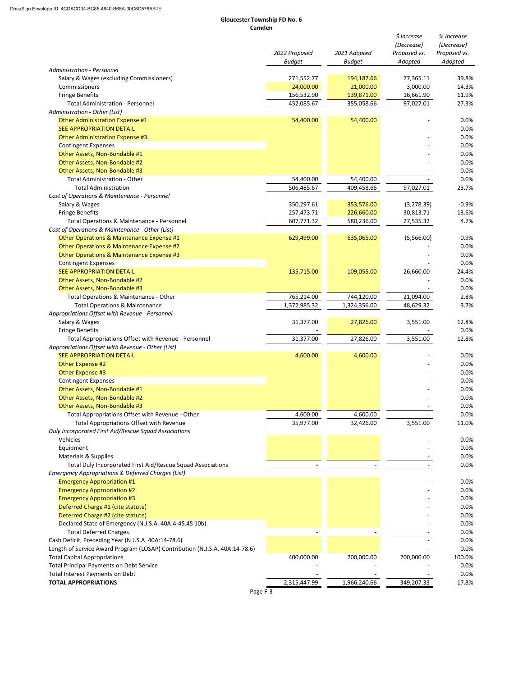|                                                                                                                              |               |               | $$$ Increase<br>(Decrease) | % Increase<br>(Decrease) |
|------------------------------------------------------------------------------------------------------------------------------|---------------|---------------|----------------------------|--------------------------|
|                                                                                                                              | 2022 Proposed | 2021 Adopted  | Proposed vs.               | Proposed vs.             |
|                                                                                                                              | <b>Budget</b> | <b>Budget</b> | Adopted                    | Adopted                  |
| Administration - Personnel                                                                                                   |               |               |                            |                          |
| Salary & Wages (excluding Commissioners)                                                                                     | 271,552.77    | 194,187.66    | 77,365.11                  | 39.8%                    |
| Commissioners                                                                                                                | 24,000.00     | 21,000.00     | 3,000.00                   | 14.3%                    |
| <b>Fringe Benefits</b>                                                                                                       | 156,532.90    | 139,871.00    | 16,661.90                  | 11.9%                    |
| <b>Total Administration - Personnel</b>                                                                                      | 452,085.67    | 355,058.66    | 97,027.01                  | 27.3%                    |
| Administration - Other (List)                                                                                                |               |               |                            |                          |
| Other Administration Expense #1                                                                                              | 54,400.00     | 54,400.00     |                            | 0.0%                     |
| <b>SEE APPROPRIATION DETAIL</b>                                                                                              |               |               |                            | 0.0%                     |
| Other Administration Expense #3                                                                                              |               |               |                            | 0.0%                     |
| <b>Contingent Expenses</b>                                                                                                   |               |               |                            | 0.0%                     |
| Other Assets, Non-Bondable #1                                                                                                |               |               |                            | 0.0%                     |
| Other Assets, Non-Bondable #2<br>Other Assets, Non-Bondable #3                                                               |               |               |                            | 0.0%<br>0.0%             |
| <b>Total Administration - Other</b>                                                                                          | 54,400.00     | 54,400.00     |                            | 0.0%                     |
| <b>Total Administration</b>                                                                                                  | 506,485.67    | 409,458.66    | 97,027.01                  | 23.7%                    |
| Cost of Operations & Maintenance - Personnel                                                                                 |               |               |                            |                          |
| Salary & Wages                                                                                                               | 350,297.61    | 353,576.00    | (3, 278.39)                | $-0.9%$                  |
| <b>Fringe Benefits</b>                                                                                                       | 257,473.71    | 226,660.00    | 30,813.71                  | 13.6%                    |
| Total Operations & Maintenance - Personnel                                                                                   | 607,771.32    | 580,236.00    | 27,535.32                  | 4.7%                     |
| Cost of Operations & Maintenance - Other (List)                                                                              |               |               |                            |                          |
| Other Operations & Maintenance Expense #1                                                                                    | 629,499.00    | 635,065.00    | (5,566.00)                 | $-0.9%$                  |
| Other Operations & Maintenance Expense #2                                                                                    |               |               |                            | 0.0%                     |
| Other Operations & Maintenance Expense #3                                                                                    |               |               |                            | 0.0%                     |
| <b>Contingent Expenses</b>                                                                                                   |               |               |                            | 0.0%                     |
| <b>SEE APPROPRIATION DETAIL</b>                                                                                              | 135,715.00    | 109,055.00    | 26,660.00                  | 24.4%                    |
| Other Assets, Non-Bondable #2                                                                                                |               |               |                            | 0.0%                     |
| Other Assets, Non-Bondable #3                                                                                                |               |               |                            | 0.0%                     |
| Total Operations & Maintenance - Other                                                                                       | 765,214.00    | 744,120.00    | 21,094.00                  | 2.8%                     |
| <b>Total Operations &amp; Maintenance</b>                                                                                    | 1,372,985.32  | 1,324,356.00  | 48,629.32                  | 3.7%                     |
| Appropriations Offset with Revenue - Personnel                                                                               |               |               |                            |                          |
| Salary & Wages                                                                                                               | 31,377.00     | 27,826.00     | 3,551.00                   | 12.8%                    |
| <b>Fringe Benefits</b>                                                                                                       |               |               |                            | 0.0%                     |
| Total Appropriations Offset with Revenue - Personnel                                                                         | 31,377.00     | 27,826.00     | 3,551.00                   | 12.8%                    |
| Appropriations Offset with Revenue - Other (List)                                                                            |               |               |                            |                          |
| <b>SEE APPROPRIATION DETAIL</b>                                                                                              | 4,600.00      | 4,600.00      |                            | 0.0%                     |
| Other Expense #2                                                                                                             |               |               |                            | 0.0%                     |
| Other Expense #3                                                                                                             |               |               |                            | 0.0%                     |
| <b>Contingent Expenses</b>                                                                                                   |               |               |                            | 0.0%                     |
| Other Assets, Non-Bondable #1                                                                                                |               |               |                            | 0.0%                     |
| Other Assets, Non-Bondable #2                                                                                                |               |               |                            | 0.0%                     |
| Other Assets, Non-Bondable #3                                                                                                |               |               |                            | 0.0%                     |
| Total Appropriations Offset with Revenue - Other                                                                             | 4,600.00      | 4,600.00      |                            | 0.0%                     |
| Total Appropriations Offset with Revenue                                                                                     | 35,977.00     | 32,426.00     | 3,551.00                   | 11.0%                    |
| Duly Incorporated First Aid/Rescue Squad Associations                                                                        |               |               |                            |                          |
| Vehicles                                                                                                                     |               |               |                            | 0.0%                     |
| Equipment                                                                                                                    |               |               |                            | 0.0%                     |
| <b>Materials &amp; Supplies</b>                                                                                              |               |               |                            | 0.0%                     |
| Total Duly Incorporated First Aid/Rescue Squad Associations<br><b>Emergency Appropriations &amp; Deferred Charges (List)</b> |               |               |                            | 0.0%                     |
| <b>Emergency Appropriation #1</b>                                                                                            |               |               |                            | 0.0%                     |
| <b>Emergency Appropriation #2</b>                                                                                            |               |               |                            | 0.0%                     |
| <b>Emergency Appropriation #3</b>                                                                                            |               |               |                            | 0.0%                     |
| Deferred Charge #1 (cite statute)                                                                                            |               |               |                            | 0.0%                     |
| Deferred Charge #2 (cite statute)                                                                                            |               |               |                            | 0.0%                     |
| Declared State of Emergency (N.J.S.A. 40A:4-45.45 10b)                                                                       |               |               |                            | 0.0%                     |
| <b>Total Deferred Charges</b>                                                                                                |               |               |                            | 0.0%                     |
|                                                                                                                              |               |               |                            |                          |

| Cash Deficit, Preceding Year (N.J.S.A. 40A:14-78.6)                         |              |              |            | 0.0%   |
|-----------------------------------------------------------------------------|--------------|--------------|------------|--------|
| Length of Service Award Program (LOSAP) Contribution (N.J.S.A. 40A:14-78.6) |              |              |            | 0.0%   |
| <b>Total Capital Appropriations</b>                                         | 400,000.00   | 200,000.00   | 200,000.00 | 100.0% |
| <b>Total Principal Payments on Debt Service</b>                             |              |              |            | 0.0%   |
| Total Interest Payments on Debt                                             |              |              |            | 0.0%   |
| <b>TOTAL APPROPRIATIONS</b>                                                 | 2,315,447.99 | 1,966,240.66 | 349,207.33 | 17.8%  |
| Page F-3                                                                    |              |              |            |        |
|                                                                             |              |              |            |        |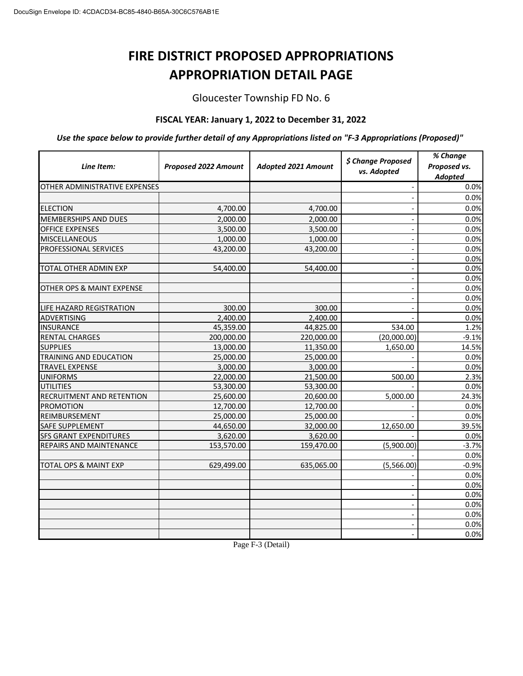### **FIRE DISTRICT PROPOSED APPROPRIATIONS APPROPRIATION DETAIL PAGE**

Gloucester Township FD No. 6

#### **FISCAL YEAR: January 1, 2022 to December 31, 2022**

*Use the space below to provide further detail of any Appropriations listed on "F-3 Appropriations (Proposed)"*

|                                  |                      |                            | \$ Change Proposed | % Change       |
|----------------------------------|----------------------|----------------------------|--------------------|----------------|
| Line Item:                       | Proposed 2022 Amount | <b>Adopted 2021 Amount</b> | vs. Adopted        | Proposed vs.   |
|                                  |                      |                            |                    | <b>Adopted</b> |
| OTHER ADMINISTRATIVE EXPENSES    |                      |                            |                    | 0.0%           |
|                                  |                      |                            |                    | 0.0%           |
| <b>ELECTION</b>                  | 4,700.00             | 4,700.00                   |                    | 0.0%           |
| <b>MEMBERSHIPS AND DUES</b>      | 2,000.00             | 2,000.00                   |                    | 0.0%           |
| <b>OFFICE EXPENSES</b>           | 3,500.00             | 3,500.00                   |                    | 0.0%           |
| <b>MISCELLANEOUS</b>             | 1,000.00             | 1,000.00                   |                    | 0.0%           |
| PROFESSIONAL SERVICES            | 43,200.00            | 43,200.00                  |                    | 0.0%           |
|                                  |                      |                            |                    | 0.0%           |
| <b>TOTAL OTHER ADMIN EXP</b>     | 54,400.00            | 54,400.00                  |                    | 0.0%           |
|                                  |                      |                            |                    | 0.0%           |
| OTHER OPS & MAINT EXPENSE        |                      |                            |                    | 0.0%           |
|                                  |                      |                            |                    | 0.0%           |
| LIFE HAZARD REGISTRATION         | 300.00               | 300.00                     |                    | 0.0%           |
| <b>ADVERTISING</b>               | 2,400.00             | 2,400.00                   |                    | 0.0%           |
| <b>INSURANCE</b>                 | 45,359.00            | 44,825.00                  | 534.00             | 1.2%           |
| <b>RENTAL CHARGES</b>            | 200,000.00           | 220,000.00                 | (20,000.00)        | $-9.1%$        |
| <b>SUPPLIES</b>                  | 13,000.00            | 11,350.00                  | 1,650.00           | 14.5%          |
| <b>TRAINING AND EDUCATION</b>    | 25,000.00            | 25,000.00                  |                    | 0.0%           |
| <b>TRAVEL EXPENSE</b>            | 3,000.00             | 3,000.00                   |                    | 0.0%           |
| <b>UNIFORMS</b>                  | 22,000.00            | 21,500.00                  | 500.00             | 2.3%           |
| <b>UTILITIES</b>                 | 53,300.00            | 53,300.00                  |                    | 0.0%           |
| RECRUITMENT AND RETENTION        | 25,600.00            | 20,600.00                  | 5,000.00           | 24.3%          |
| <b>PROMOTION</b>                 | 12,700.00            | 12,700.00                  |                    | 0.0%           |
| REIMBURSEMENT                    | 25,000.00            | 25,000.00                  |                    | 0.0%           |
| <b>SAFE SUPPLEMENT</b>           | 44,650.00            | 32,000.00                  | 12,650.00          | 39.5%          |
| <b>SFS GRANT EXPENDITURES</b>    | 3,620.00             | 3,620.00                   |                    | 0.0%           |
| REPAIRS AND MAINTENANCE          | 153,570.00           | 159,470.00                 | (5,900.00)         | $-3.7%$        |
|                                  |                      |                            |                    | 0.0%           |
| <b>TOTAL OPS &amp; MAINT EXP</b> | 629,499.00           | 635,065.00                 | (5,566.00)         | $-0.9%$        |
|                                  |                      |                            |                    | 0.0%           |
|                                  |                      |                            |                    | 0.0%           |
|                                  |                      |                            |                    | 0.0%           |
|                                  |                      |                            |                    | 0.0%           |
|                                  |                      |                            |                    | 0.0%           |
|                                  |                      |                            |                    | 0.0%           |
|                                  |                      |                            |                    | 0.0%           |

Page F-3 (Detail)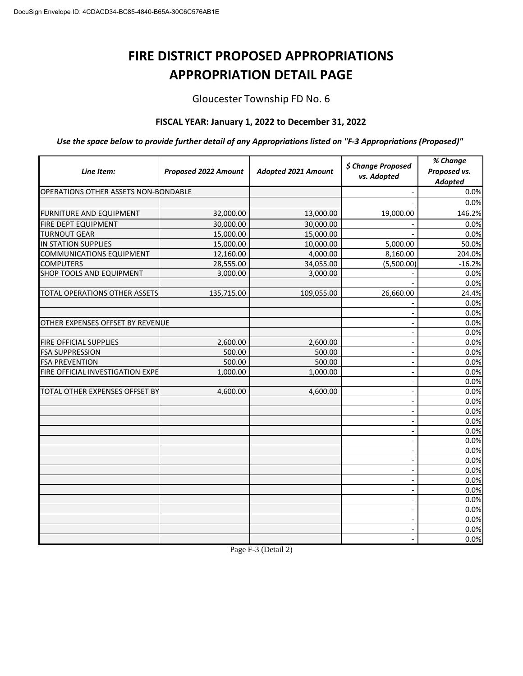### **FIRE DISTRICT PROPOSED APPROPRIATIONS APPROPRIATION DETAIL PAGE**

Gloucester Township FD No. 6

### **FISCAL YEAR: January 1, 2022 to December 31, 2022**

*Use the space below to provide further detail of any Appropriations listed on "F-3 Appropriations (Proposed)"*

| Line Item:                           | Proposed 2022 Amount | <b>Adopted 2021 Amount</b> | \$ Change Proposed<br>vs. Adopted | % Change<br>Proposed vs.<br><b>Adopted</b> |
|--------------------------------------|----------------------|----------------------------|-----------------------------------|--------------------------------------------|
| OPERATIONS OTHER ASSETS NON-BONDABLE |                      |                            |                                   | 0.0%                                       |
|                                      |                      |                            |                                   | 0.0%                                       |
| <b>FURNITURE AND EQUIPMENT</b>       | 32,000.00            | 13,000.00                  | 19,000.00                         | 146.2%                                     |
| FIRE DEPT EQUIPMENT                  | 30,000.00            | 30,000.00                  |                                   | 0.0%                                       |
| <b>TURNOUT GEAR</b>                  | 15,000.00            | 15,000.00                  |                                   | 0.0%                                       |
| IN STATION SUPPLIES                  | 15,000.00            | 10,000.00                  | 5,000.00                          | 50.0%                                      |
| COMMUNICATIONS EQUIPMENT             | 12,160.00            | 4,000.00                   | 8,160.00                          | 204.0%                                     |
| <b>COMPUTERS</b>                     | 28,555.00            | 34,055.00                  | (5,500.00)                        | $-16.2%$                                   |
| SHOP TOOLS AND EQUIPMENT             | 3,000.00             | 3,000.00                   |                                   | 0.0%                                       |
|                                      |                      |                            |                                   | 0.0%                                       |
| TOTAL OPERATIONS OTHER ASSETS        | 135,715.00           | 109,055.00                 | 26,660.00                         | 24.4%                                      |
|                                      |                      |                            |                                   | 0.0%                                       |
|                                      |                      |                            |                                   | 0.0%                                       |
| OTHER EXPENSES OFFSET BY REVENUE     |                      |                            |                                   | 0.0%                                       |
|                                      |                      |                            |                                   | 0.0%                                       |
| FIRE OFFICIAL SUPPLIES               | 2,600.00             | 2,600.00                   |                                   | 0.0%                                       |
| <b>FSA SUPPRESSION</b>               | 500.00               | 500.00                     |                                   | 0.0%                                       |
| <b>FSA PREVENTION</b>                | 500.00               | 500.00                     |                                   | 0.0%                                       |
| FIRE OFFICIAL INVESTIGATION EXPE     | 1,000.00             | 1,000.00                   |                                   | 0.0%                                       |
|                                      |                      |                            |                                   | 0.0%                                       |
| TOTAL OTHER EXPENSES OFFSET BY       | 4,600.00             | 4,600.00                   |                                   | 0.0%                                       |
|                                      |                      |                            |                                   | 0.0%                                       |
|                                      |                      |                            |                                   | 0.0%                                       |
|                                      |                      |                            |                                   | 0.0%                                       |
|                                      |                      |                            |                                   | 0.0%<br>0.0%                               |
|                                      |                      |                            |                                   | 0.0%                                       |
|                                      |                      |                            |                                   | 0.0%                                       |
|                                      |                      |                            |                                   | 0.0%                                       |
|                                      |                      |                            |                                   | 0.0%                                       |
|                                      |                      |                            |                                   | 0.0%                                       |
|                                      |                      |                            |                                   | 0.0%                                       |
|                                      |                      |                            |                                   | 0.0%                                       |
|                                      |                      |                            |                                   | 0.0%                                       |
|                                      |                      |                            |                                   | 0.0%                                       |
|                                      |                      |                            |                                   | 0.0%                                       |

Page F-3 (Detail 2)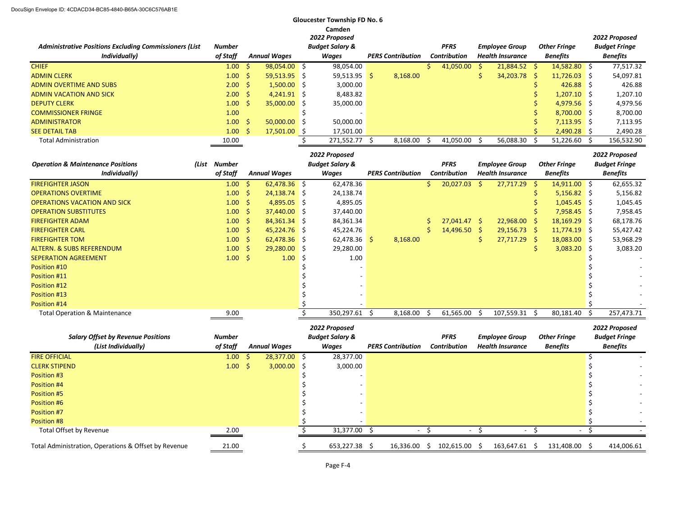|                                                               |                   |    |                     | Camden<br>2022 Proposed    |    |                          |                     |                         |    |                     | 2022 Proposed        |
|---------------------------------------------------------------|-------------------|----|---------------------|----------------------------|----|--------------------------|---------------------|-------------------------|----|---------------------|----------------------|
| <b>Administrative Positions Excluding Commissioners (List</b> | <b>Number</b>     |    |                     | <b>Budget Salary &amp;</b> |    |                          | <b>PFRS</b>         | <b>Employee Group</b>   |    | <b>Other Fringe</b> | <b>Budget Fringe</b> |
| Individually)                                                 | of Staff          |    | <b>Annual Wages</b> | <b>Wages</b>               |    | <b>PERS Contribution</b> | <b>Contribution</b> | <b>Health Insurance</b> |    | <b>Benefits</b>     | <b>Benefits</b>      |
| <b>CHIEF</b>                                                  | 1.00 <sub>1</sub> |    | $98,054.00$ \$      | 98,054.00                  |    |                          | 41,050.00           | 21,884.52               | -S | $14,582.80$ \$      | 77,517.32            |
| <b>ADMIN CLERK</b>                                            | 1.00              | -S | $59,513.95$ \$      | 59,513.95                  | -S | 8,168.00                 |                     | 34,203.78               | -S | $11,726.03$ \$      | 54,097.81            |
| ADMIN OVERTIME AND SUBS                                       | 2.00              | -S | $1,500.00$ \$       | 3,000.00                   |    |                          |                     |                         |    | $426.88$ \$         | 426.88               |
| <b>ADMIN VACATION AND SICK</b>                                | 2.00              | -S | $4,241.91$ \$       | 8,483.82                   |    |                          |                     |                         |    | $1,207.10$ \$       | 1,207.10             |
| <b>DEPUTY CLERK</b>                                           | 1.00              | -S | $35,000.00$ \$      | 35,000.00                  |    |                          |                     |                         |    | $4,979.56$ \$       | 4,979.56             |
| <b>COMMISSIONER FRINGE</b>                                    | 1.00              |    |                     |                            |    |                          |                     |                         |    | $8,700.00$ \$       | 8,700.00             |
| <b>ADMINISTRATOR</b>                                          | 1.00              | -S | $50,000.00$ \$      | 50,000.00                  |    |                          |                     |                         |    | $7,113.95$ \$       | 7,113.95             |
| <b>SEE DETAIL TAB</b>                                         | 1.00              |    | $17,501.00$ \$      | 17,501.00                  |    |                          |                     |                         |    | $2,490.28$ \$       | 2,490.28             |
| <b>Total Administration</b>                                   | 10.00             |    |                     | 271,552.77                 |    | 8,168.00                 | 41,050.00           | 56,088.30               |    | 51,226.60           | 156,532.90           |
|                                                               |                   |    |                     |                            |    |                          |                     |                         |    |                     |                      |

**Gloucester Township FD No. 6**

|                                              |                   |    |                     |    | 2022 Proposed              |    |                          |                     |    |                         |     |                     | 2022 Proposed        |
|----------------------------------------------|-------------------|----|---------------------|----|----------------------------|----|--------------------------|---------------------|----|-------------------------|-----|---------------------|----------------------|
| <b>Operation &amp; Maintenance Positions</b> | (List<br>Number   |    |                     |    | <b>Budget Salary &amp;</b> |    |                          | <b>PFRS</b>         |    | <b>Employee Group</b>   |     | <b>Other Fringe</b> | <b>Budget Fringe</b> |
| Individually)                                | of Staff          |    | <b>Annual Wages</b> |    | Wages                      |    | <b>PERS Contribution</b> | <b>Contribution</b> |    | <b>Health Insurance</b> |     | <b>Benefits</b>     | <b>Benefits</b>      |
| <b>FIREFIGHTER JASON</b>                     | 1.00              |    | $62,478.36$ \$      |    | 62,478.36                  |    |                          | 20,027.03           | -S | 27,717.29               | -S  | $14,911.00$ \$      | 62,655.32            |
| <b>OPERATIONS OVERTIME</b>                   | 1.00              |    | $24,138.74$ \$      |    | 24,138.74                  |    |                          |                     |    |                         |     | $5,156.82$ \$       | 5,156.82             |
| <b>OPERATIONS VACATION AND SICK</b>          | 1.00              |    | $4,895.05$ \$       |    | 4,895.05                   |    |                          |                     |    |                         |     | $1,045.45$ \$       | 1,045.45             |
| <b>OPERATION SUBSTITUTES</b>                 | 1.00              |    | $37,440.00$ \$      |    | 37,440.00                  |    |                          |                     |    |                         |     | $7,958.45$ \$       | 7,958.45             |
| <b>FIREFIGHTER ADAM</b>                      | 1.00              |    | $84,361.34$ \$      |    | 84,361.34                  |    |                          | $27,041.47$ \$      |    | 22,968.00               | - S | $18,169.29$ \$      | 68,178.76            |
| <b>FIREFIGHTER CARL</b>                      | 1.00              |    | $45,224.76$ \$      |    | 45,224.76                  |    |                          | $14,496.50$ \$      |    | $29,156.73$ \$          |     | $11,774.19$ \$      | 55,427.42            |
| <b>FIREFIGHTER TOM</b>                       | 1.00              |    | $62,478.36$ \$      |    | 62,478.36                  | -S | 8,168.00                 |                     | S  | 27,717.29               | -S  | $18,083.00$ \$      | 53,968.29            |
| <b>ALTERN. &amp; SUBS REFERENDUM</b>         | 1.00 <sub>1</sub> |    | $29,280.00$ \$      |    | 29,280.00                  |    |                          |                     |    |                         |     | $3,083.20$ \$       | 3,083.20             |
| <b>SEPERATION AGREEMENT</b>                  | 1.00 <sub>1</sub> | -S | 1.00                | -S | 1.00                       |    |                          |                     |    |                         |     |                     |                      |
| Position #10                                 |                   |    |                     |    |                            |    |                          |                     |    |                         |     |                     |                      |
| Position #11                                 |                   |    |                     |    |                            |    |                          |                     |    |                         |     |                     |                      |
| Position #12                                 |                   |    |                     |    |                            |    |                          |                     |    |                         |     |                     |                      |
| Position #13                                 |                   |    |                     |    |                            |    |                          |                     |    |                         |     |                     |                      |
| Position #14                                 |                   |    |                     |    |                            |    |                          |                     |    |                         |     |                     |                      |
| <b>Total Operation &amp; Maintenance</b>     | 9.00              |    |                     |    | 350,297.61                 |    | 8,168.00                 | 61,565.00           |    | 107,559.31              |     | 80,181.40           | 257,473.71           |

|                                                      |               |    |                     | 2022 Proposed              |                          |                     |                         |    |                     | 2022 Proposed            |  |
|------------------------------------------------------|---------------|----|---------------------|----------------------------|--------------------------|---------------------|-------------------------|----|---------------------|--------------------------|--|
| <b>Salary Offset by Revenue Positions</b>            | <b>Number</b> |    |                     | <b>Budget Salary &amp;</b> |                          | <b>PFRS</b>         | <b>Employee Group</b>   |    | <b>Other Fringe</b> | <b>Budget Fringe</b>     |  |
| (List Individually)                                  | of Staff      |    | <b>Annual Wages</b> | <b>Wages</b>               | <b>PERS Contribution</b> | <b>Contribution</b> | <b>Health Insurance</b> |    | <b>Benefits</b>     | <b>Benefits</b>          |  |
| <b>FIRE OFFICIAL</b>                                 | 1.00          |    | $28,377.00$ \$      | 28,377.00                  |                          |                     |                         |    |                     |                          |  |
| <b>CLERK STIPEND</b>                                 | 1.00          | -S | $3,000.00$ \$       | 3,000.00                   |                          |                     |                         |    |                     |                          |  |
| Position #3                                          |               |    |                     |                            |                          |                     |                         |    |                     |                          |  |
| Position #4                                          |               |    |                     |                            |                          |                     |                         |    |                     | $\overline{\phantom{a}}$ |  |
| Position #5                                          |               |    |                     |                            |                          |                     |                         |    |                     |                          |  |
| Position #6                                          |               |    |                     |                            |                          |                     |                         |    |                     |                          |  |
| Position #7                                          |               |    |                     |                            |                          |                     |                         |    |                     |                          |  |
| Position #8                                          |               |    |                     |                            |                          |                     |                         |    |                     |                          |  |
| Total Offset by Revenue                              | 2.00          |    |                     | 31,377.00                  |                          |                     |                         |    |                     |                          |  |
| Total Administration, Operations & Offset by Revenue | 21.00         |    |                     | 653,227.38                 | 16,336.00                | 102,615.00 \$       | 163,647.61              | -S | 131,408.00 \$       | 414,006.61               |  |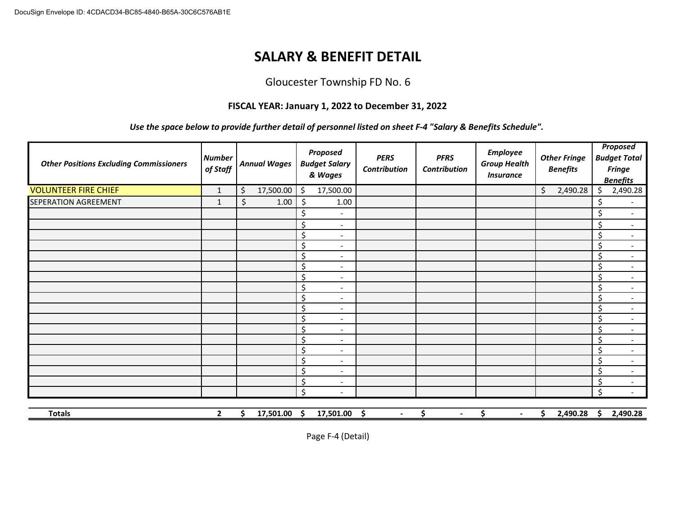### **SALARY & BENEFIT DETAIL**

Gloucester Township FD No. 6

#### **FISCAL YEAR: January 1, 2022 to December 31, 2022**

*Use the space below to provide further detail of personnel listed on sheet F-4 "Salary & Benefits Schedule".*

| <b>Other Positions Excluding Commissioners</b> | <b>Number</b><br>of Staff | <b>Annual Wages</b> | <b>Proposed</b><br><b>Budget Salary</b><br>& Wages | <b>PERS</b><br><b>PFRS</b><br>Contribution<br><b>Contribution</b> |                      | <b>Employee</b><br><b>Group Health</b><br><b>Insurance</b> | <b>Other Fringe</b><br><b>Benefits</b> |    | <b>Proposed</b><br><b>Budget Total</b><br><b>Fringe</b><br><b>Benefits</b> |
|------------------------------------------------|---------------------------|---------------------|----------------------------------------------------|-------------------------------------------------------------------|----------------------|------------------------------------------------------------|----------------------------------------|----|----------------------------------------------------------------------------|
| <b>VOLUNTEER FIRE CHIEF</b>                    | $\mathbf{1}$              | 17,500.00<br>\$     | \$<br>17,500.00                                    |                                                                   |                      |                                                            | \$<br>2,490.28                         | \$ | 2,490.28                                                                   |
| SEPERATION AGREEMENT                           | $\mathbf{1}$              | \$<br>1.00          | \$<br>1.00                                         |                                                                   |                      |                                                            |                                        | \$ | $\overline{\phantom{a}}$                                                   |
|                                                |                           |                     | $\overline{\phantom{a}}$                           |                                                                   |                      |                                                            |                                        | Ś  | $\overline{\phantom{a}}$                                                   |
|                                                |                           |                     | \$<br>$ \,$                                        |                                                                   |                      |                                                            |                                        | Ś  | $\sim$                                                                     |
|                                                |                           |                     | $ \,$                                              |                                                                   |                      |                                                            |                                        |    | $\sim$                                                                     |
|                                                |                           |                     | \$<br>$\overline{\phantom{a}}$                     |                                                                   |                      |                                                            |                                        |    | $\sim$                                                                     |
|                                                |                           |                     | Ś<br>$\overline{\phantom{a}}$                      |                                                                   |                      |                                                            |                                        | \$ | $\sim$                                                                     |
|                                                |                           |                     | \$<br>$\overline{\phantom{a}}$                     |                                                                   |                      |                                                            |                                        |    | $\blacksquare$                                                             |
|                                                |                           |                     | \$<br>$\overline{\phantom{a}}$                     |                                                                   |                      |                                                            |                                        |    | $\overline{\phantom{a}}$                                                   |
|                                                |                           |                     | $\overline{\phantom{a}}$                           |                                                                   |                      |                                                            |                                        |    | $\sim$                                                                     |
|                                                |                           |                     | $ \,$                                              |                                                                   |                      |                                                            |                                        |    | $\sim$                                                                     |
|                                                |                           |                     | Ś<br>$ \,$                                         |                                                                   |                      |                                                            |                                        |    | $\sim$                                                                     |
|                                                |                           |                     | Ś<br>$\overline{\phantom{a}}$                      |                                                                   |                      |                                                            |                                        |    | $\sim$                                                                     |
|                                                |                           |                     | \$<br>$\overline{\phantom{a}}$                     |                                                                   |                      |                                                            |                                        |    | $\sim$                                                                     |
|                                                |                           |                     | \$<br>$\overline{\phantom{a}}$                     |                                                                   |                      |                                                            |                                        | \$ | $\overline{\phantom{a}}$                                                   |
|                                                |                           |                     | \$<br>$-$                                          |                                                                   |                      |                                                            |                                        |    | $\overline{\phantom{a}}$                                                   |
|                                                |                           |                     | $-$                                                |                                                                   |                      |                                                            |                                        |    | $\sim$                                                                     |
|                                                |                           |                     | \$<br>$-$                                          |                                                                   |                      |                                                            |                                        | \$ | $\sim$                                                                     |
|                                                |                           |                     | \$<br>$\overline{\phantom{a}}$                     |                                                                   |                      |                                                            |                                        | Ś  | $\sim$                                                                     |
|                                                |                           |                     | \$<br>$-$                                          |                                                                   |                      |                                                            |                                        | \$ | $\sim$                                                                     |
| <b>Totals</b>                                  | $\overline{2}$            | 17,501.00<br>\$     | \$<br>17,501.00                                    | \$<br>$\blacksquare$                                              | \$<br>$\blacksquare$ | \$<br>$\blacksquare$                                       | \$<br>2,490.28                         | \$ | 2,490.28                                                                   |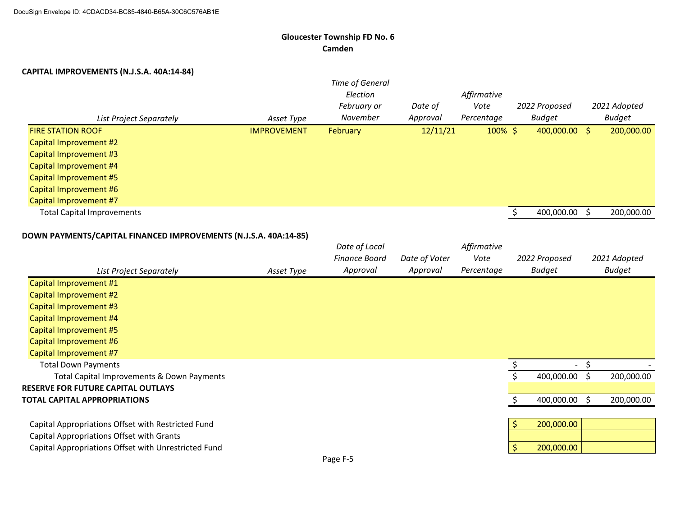#### **CAPITAL IMPROVEMENTS (N.J.S.A. 40A:14-84)**

| List Project Separately           | Asset Type         | <b>Time of General</b><br>Election<br>February or<br>November | Date of<br>Approval | Affirmative<br>Vote<br>Percentage | 2022 Proposed<br><b>Budget</b> | 2021 Adopted<br><b>Budget</b> |
|-----------------------------------|--------------------|---------------------------------------------------------------|---------------------|-----------------------------------|--------------------------------|-------------------------------|
| <b>FIRE STATION ROOF</b>          | <b>IMPROVEMENT</b> | February                                                      | 12/11/21            | $100\%$ \$                        | $400,000.00$ \$                | 200,000.00                    |
| Capital Improvement #2            |                    |                                                               |                     |                                   |                                |                               |
| Capital Improvement #3            |                    |                                                               |                     |                                   |                                |                               |
| Capital Improvement #4            |                    |                                                               |                     |                                   |                                |                               |
| Capital Improvement #5            |                    |                                                               |                     |                                   |                                |                               |
| Capital Improvement #6            |                    |                                                               |                     |                                   |                                |                               |
| Capital Improvement #7            |                    |                                                               |                     |                                   |                                |                               |
| <b>Total Capital Improvements</b> |                    |                                                               |                     |                                   | 400,000.00                     | 200,000.00                    |
|                                   |                    |                                                               |                     |                                   |                                |                               |

#### **DOWN PAYMENTS/CAPITAL FINANCED IMPROVEMENTS (N.J.S.A. 40A:14-85)**

|                                                      |            | Date of Local        |               | Affirmative |                          |               |
|------------------------------------------------------|------------|----------------------|---------------|-------------|--------------------------|---------------|
|                                                      |            | <b>Finance Board</b> | Date of Voter | Vote        | 2022 Proposed            | 2021 Adopted  |
| List Project Separately                              | Asset Type | Approval             | Approval      | Percentage  | <b>Budget</b>            | <b>Budget</b> |
| Capital Improvement #1                               |            |                      |               |             |                          |               |
| Capital Improvement #2                               |            |                      |               |             |                          |               |
| Capital Improvement #3                               |            |                      |               |             |                          |               |
| Capital Improvement #4                               |            |                      |               |             |                          |               |
| Capital Improvement #5                               |            |                      |               |             |                          |               |
| Capital Improvement #6                               |            |                      |               |             |                          |               |
| Capital Improvement #7                               |            |                      |               |             |                          |               |
| <b>Total Down Payments</b>                           |            |                      |               |             | $\overline{\phantom{a}}$ | Ś             |
| Total Capital Improvements & Down Payments           |            |                      |               |             | $400,000.00$ \$          | 200,000.00    |
| <b>RESERVE FOR FUTURE CAPITAL OUTLAYS</b>            |            |                      |               |             |                          |               |
| <b>TOTAL CAPITAL APPROPRIATIONS</b>                  |            |                      |               |             | 400,000.00               | 200,000.00    |
|                                                      |            |                      |               |             |                          |               |
| Capital Appropriations Offset with Restricted Fund   |            |                      |               |             | 200,000.00               |               |
| Capital Appropriations Offset with Grants            |            |                      |               |             |                          |               |
| Capital Appropriations Offset with Unrestricted Fund |            |                      |               |             | 200,000.00               |               |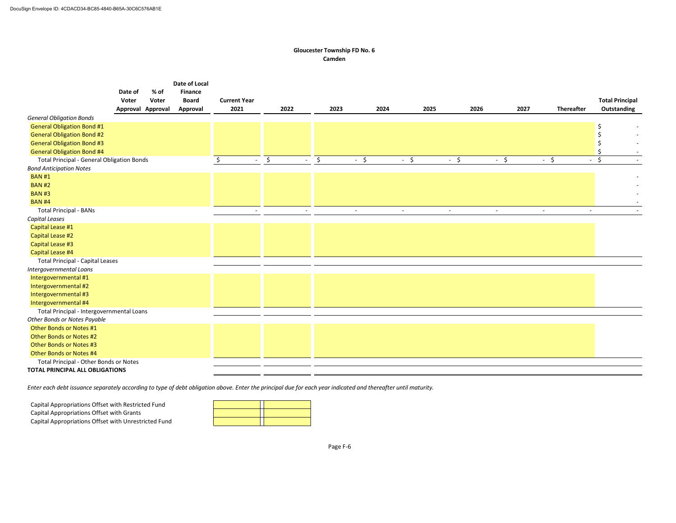|                                                                                         | Date of<br>Voter | % of<br>Voter<br>Approval Approval | Date of Local<br><b>Finance</b><br><b>Board</b><br>Approval | <b>Current Year</b><br>2021 |         | 2022   |               | 2023 |                          | 2024 |                          | 2025 |                          | 2026 |        | 2027 |                          | <b>Thereafter</b> | <b>Total Principal</b><br><b>Outstanding</b> |  |
|-----------------------------------------------------------------------------------------|------------------|------------------------------------|-------------------------------------------------------------|-----------------------------|---------|--------|---------------|------|--------------------------|------|--------------------------|------|--------------------------|------|--------|------|--------------------------|-------------------|----------------------------------------------|--|
| <b>General Obligation Bonds</b>                                                         |                  |                                    |                                                             |                             |         |        |               |      |                          |      |                          |      |                          |      |        |      |                          |                   |                                              |  |
| <b>General Obligation Bond #1</b>                                                       |                  |                                    |                                                             |                             |         |        |               |      |                          |      |                          |      |                          |      |        |      |                          |                   | -S                                           |  |
| <b>General Obligation Bond #2</b>                                                       |                  |                                    |                                                             |                             |         |        |               |      |                          |      |                          |      |                          |      |        |      |                          |                   |                                              |  |
| <b>General Obligation Bond #3</b>                                                       |                  |                                    |                                                             |                             |         |        |               |      |                          |      |                          |      |                          |      |        |      |                          |                   |                                              |  |
| <b>General Obligation Bond #4</b>                                                       |                  |                                    |                                                             |                             |         |        |               |      |                          |      |                          |      |                          |      |        |      |                          |                   |                                              |  |
| <b>Total Principal - General Obligation Bonds</b>                                       |                  |                                    |                                                             | $\zeta$<br>$\sim$           | $\zeta$ | $\sim$ | $\frac{1}{2}$ |      | $-5$                     |      | $-5$                     |      | $-5$                     |      | $-5$   |      | $-5$                     |                   | $\mathsf{S}$                                 |  |
| <b>Bond Anticipation Notes</b>                                                          |                  |                                    |                                                             |                             |         |        |               |      |                          |      |                          |      |                          |      |        |      |                          |                   |                                              |  |
| <b>BAN#1</b>                                                                            |                  |                                    |                                                             |                             |         |        |               |      |                          |      |                          |      |                          |      |        |      |                          |                   |                                              |  |
| <b>BAN#2</b>                                                                            |                  |                                    |                                                             |                             |         |        |               |      |                          |      |                          |      |                          |      |        |      |                          |                   |                                              |  |
| <b>BAN#3</b>                                                                            |                  |                                    |                                                             |                             |         |        |               |      |                          |      |                          |      |                          |      |        |      |                          |                   |                                              |  |
| <b>BAN #4</b>                                                                           |                  |                                    |                                                             |                             |         |        |               |      |                          |      |                          |      |                          |      |        |      |                          |                   |                                              |  |
| <b>Total Principal - BANs</b>                                                           |                  |                                    |                                                             |                             |         |        |               |      | $\overline{\phantom{a}}$ |      | $\overline{\phantom{a}}$ |      | $\overline{\phantom{a}}$ |      | $\sim$ |      | $\overline{\phantom{a}}$ |                   |                                              |  |
| Capital Leases                                                                          |                  |                                    |                                                             |                             |         |        |               |      |                          |      |                          |      |                          |      |        |      |                          |                   |                                              |  |
| Capital Lease #1                                                                        |                  |                                    |                                                             |                             |         |        |               |      |                          |      |                          |      |                          |      |        |      |                          |                   |                                              |  |
| Capital Lease #2                                                                        |                  |                                    |                                                             |                             |         |        |               |      |                          |      |                          |      |                          |      |        |      |                          |                   |                                              |  |
| Capital Lease #3                                                                        |                  |                                    |                                                             |                             |         |        |               |      |                          |      |                          |      |                          |      |        |      |                          |                   |                                              |  |
| Capital Lease #4                                                                        |                  |                                    |                                                             |                             |         |        |               |      |                          |      |                          |      |                          |      |        |      |                          |                   |                                              |  |
| <b>Total Principal - Capital Leases</b>                                                 |                  |                                    |                                                             |                             |         |        |               |      |                          |      |                          |      |                          |      |        |      |                          |                   |                                              |  |
| Intergovernmental Loans                                                                 |                  |                                    |                                                             |                             |         |        |               |      |                          |      |                          |      |                          |      |        |      |                          |                   |                                              |  |
| Intergovernmental #1                                                                    |                  |                                    |                                                             |                             |         |        |               |      |                          |      |                          |      |                          |      |        |      |                          |                   |                                              |  |
| Intergovernmental #2                                                                    |                  |                                    |                                                             |                             |         |        |               |      |                          |      |                          |      |                          |      |        |      |                          |                   |                                              |  |
| Intergovernmental #3                                                                    |                  |                                    |                                                             |                             |         |        |               |      |                          |      |                          |      |                          |      |        |      |                          |                   |                                              |  |
| Intergovernmental #4                                                                    |                  |                                    |                                                             |                             |         |        |               |      |                          |      |                          |      |                          |      |        |      |                          |                   |                                              |  |
| Total Principal - Intergovernmental Loans                                               |                  |                                    |                                                             |                             |         |        |               |      |                          |      |                          |      |                          |      |        |      |                          |                   |                                              |  |
| <b>Other Bonds or Notes Payable</b>                                                     |                  |                                    |                                                             |                             |         |        |               |      |                          |      |                          |      |                          |      |        |      |                          |                   |                                              |  |
| Other Bonds or Notes #1                                                                 |                  |                                    |                                                             |                             |         |        |               |      |                          |      |                          |      |                          |      |        |      |                          |                   |                                              |  |
| Other Bonds or Notes #2                                                                 |                  |                                    |                                                             |                             |         |        |               |      |                          |      |                          |      |                          |      |        |      |                          |                   |                                              |  |
| Other Bonds or Notes #3                                                                 |                  |                                    |                                                             |                             |         |        |               |      |                          |      |                          |      |                          |      |        |      |                          |                   |                                              |  |
| Other Bonds or Notes #4                                                                 |                  |                                    |                                                             |                             |         |        |               |      |                          |      |                          |      |                          |      |        |      |                          |                   |                                              |  |
| <b>Total Principal - Other Bonds or Notes</b><br><b>TOTAL PRINCIPAL ALL OBLIGATIONS</b> |                  |                                    |                                                             |                             |         |        |               |      |                          |      |                          |      |                          |      |        |      |                          |                   |                                              |  |

Capital Appropriations Offset with Restricted Fund Capital Appropriations Offset with Grants Capital Appropriations Offset with Unrestricted Fund

Page F-6

*Enter each debt issuance separately according to type of debt obligation above. Enter the principal due for each year indicated and thereafter until maturity.* 

#### **Gloucester Township FD No. 6 Camden**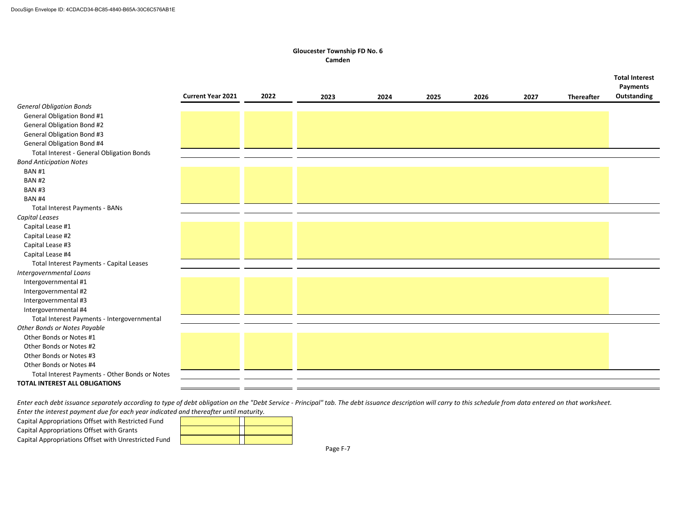

*Enter the interest payment due for each year indicated and thereafter until maturity. Enter each debt issuance separately according to type of debt obligation on the "Debt Service - Principal" tab. The debt issuance description will carry to this schedule from data entered on that worksheet.* 

Capital Appropriations Offset with Restricted Fund Capital Appropriations Offset with Grants Capital Appropriations Offset with Unrestricted Fund

Page F-7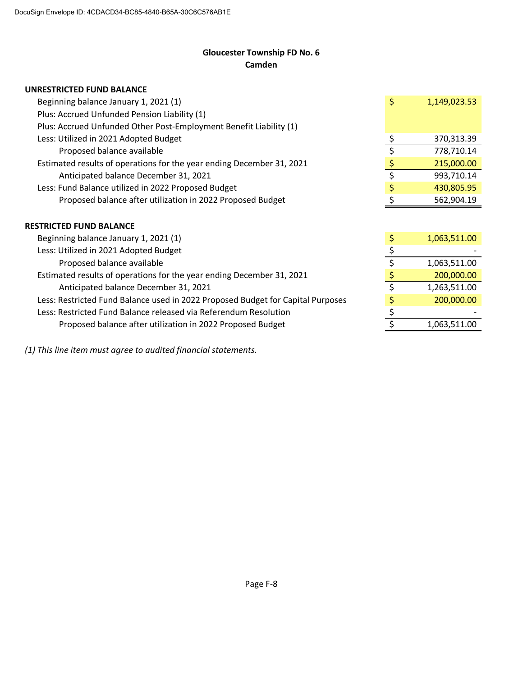| <b>UNRESTRICTED FUND BALANCE</b>                                                |    |              |
|---------------------------------------------------------------------------------|----|--------------|
| Beginning balance January 1, 2021 (1)                                           | \$ | 1,149,023.53 |
| Plus: Accrued Unfunded Pension Liability (1)                                    |    |              |
| Plus: Accrued Unfunded Other Post-Employment Benefit Liability (1)              |    |              |
| Less: Utilized in 2021 Adopted Budget                                           | \$ | 370,313.39   |
| Proposed balance available                                                      | \$ | 778,710.14   |
| Estimated results of operations for the year ending December 31, 2021           | \$ | 215,000.00   |
| Anticipated balance December 31, 2021                                           | \$ | 993,710.14   |
| Less: Fund Balance utilized in 2022 Proposed Budget                             | \$ | 430,805.95   |
| Proposed balance after utilization in 2022 Proposed Budget                      | Ś  | 562,904.19   |
|                                                                                 |    |              |
| <b>RESTRICTED FUND BALANCE</b>                                                  |    |              |
| Beginning balance January 1, 2021 (1)                                           | \$ | 1,063,511.00 |
| Less: Utilized in 2021 Adopted Budget                                           | \$ |              |
| Proposed balance available                                                      | \$ | 1,063,511.00 |
| Estimated results of operations for the year ending December 31, 2021           | \$ | 200,000.00   |
| Anticipated balance December 31, 2021                                           | \$ | 1,263,511.00 |
| Less: Restricted Fund Balance used in 2022 Proposed Budget for Capital Purposes | \$ | 200,000.00   |
| Less: Restricted Fund Balance released via Referendum Resolution                | \$ |              |
| Proposed balance after utilization in 2022 Proposed Budget                      |    | 1,063,511.00 |
|                                                                                 |    |              |

*(1) This line item must agree to audited financial statements.*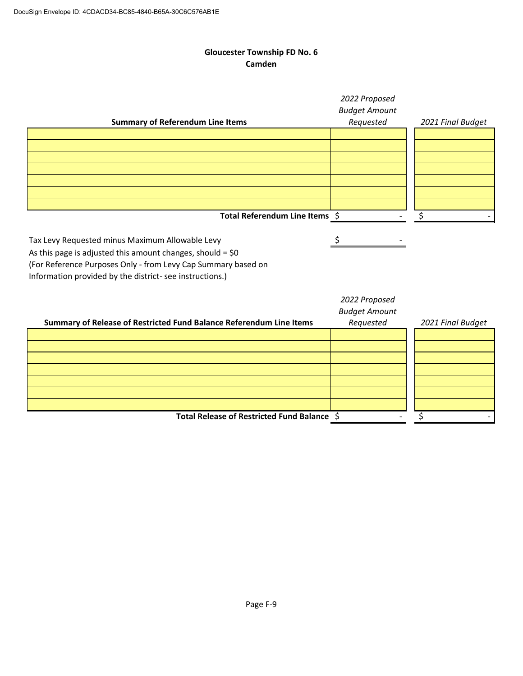|                                         | 2022 Proposed        |                   |
|-----------------------------------------|----------------------|-------------------|
|                                         | <b>Budget Amount</b> |                   |
| <b>Summary of Referendum Line Items</b> | Requested            | 2021 Final Budget |
|                                         |                      |                   |
|                                         |                      |                   |
|                                         |                      |                   |
|                                         |                      |                   |
|                                         |                      |                   |
|                                         |                      |                   |
|                                         |                      |                   |
| Total Referendum Line Items \$          |                      |                   |
|                                         |                      |                   |

Tax Levy Requested minus Maximum Allowable Levy and the state of the state of the state of the state of the state of the state of the state of the state of the state of the state of the state of the state of the state of t As this page is adjusted this amount changes, should =  $$0$ (For Reference Purposes Only - from Levy Cap Summary based on Information provided by the district- see instructions.)

|                                                                     | 2022 Proposed<br><b>Budget Amount</b> |                   |
|---------------------------------------------------------------------|---------------------------------------|-------------------|
| Summary of Release of Restricted Fund Balance Referendum Line Items | Requested                             | 2021 Final Budget |
|                                                                     |                                       |                   |
|                                                                     |                                       |                   |
|                                                                     |                                       |                   |
|                                                                     |                                       |                   |
|                                                                     |                                       |                   |
|                                                                     |                                       |                   |
|                                                                     |                                       |                   |
| Total Release of Restricted Fund Balance \$                         |                                       |                   |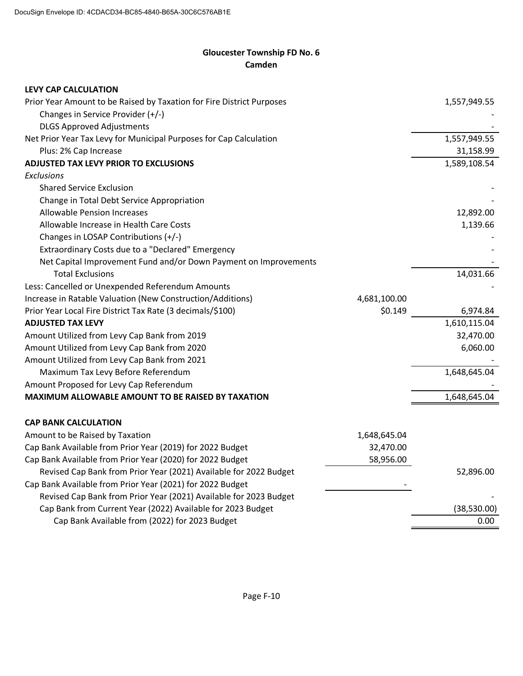| LEVY CAP CALCULATION                                                  |              |              |
|-----------------------------------------------------------------------|--------------|--------------|
| Prior Year Amount to be Raised by Taxation for Fire District Purposes |              | 1,557,949.55 |
| Changes in Service Provider (+/-)                                     |              |              |
| <b>DLGS Approved Adjustments</b>                                      |              |              |
| Net Prior Year Tax Levy for Municipal Purposes for Cap Calculation    |              | 1,557,949.55 |
| Plus: 2% Cap Increase                                                 |              | 31,158.99    |
| <b>ADJUSTED TAX LEVY PRIOR TO EXCLUSIONS</b>                          | 1,589,108.54 |              |
| Exclusions                                                            |              |              |
| <b>Shared Service Exclusion</b>                                       |              |              |
| Change in Total Debt Service Appropriation                            |              |              |
| <b>Allowable Pension Increases</b>                                    |              | 12,892.00    |
| Allowable Increase in Health Care Costs                               |              | 1,139.66     |
| Changes in LOSAP Contributions (+/-)                                  |              |              |
| Extraordinary Costs due to a "Declared" Emergency                     |              |              |
| Net Capital Improvement Fund and/or Down Payment on Improvements      |              |              |
| <b>Total Exclusions</b>                                               |              | 14,031.66    |
| Less: Cancelled or Unexpended Referendum Amounts                      |              |              |
| Increase in Ratable Valuation (New Construction/Additions)            | 4,681,100.00 |              |
| Prior Year Local Fire District Tax Rate (3 decimals/\$100)            | \$0.149      | 6,974.84     |
| <b>ADJUSTED TAX LEVY</b>                                              |              | 1,610,115.04 |
| Amount Utilized from Levy Cap Bank from 2019                          |              | 32,470.00    |
| Amount Utilized from Levy Cap Bank from 2020                          |              | 6,060.00     |
| Amount Utilized from Levy Cap Bank from 2021                          |              |              |
| Maximum Tax Levy Before Referendum                                    |              | 1,648,645.04 |
| Amount Proposed for Levy Cap Referendum                               |              |              |
| MAXIMUM ALLOWABLE AMOUNT TO BE RAISED BY TAXATION                     |              | 1,648,645.04 |
| <b>CAP BANK CALCULATION</b>                                           |              |              |
| Amount to be Raised by Taxation                                       | 1,648,645.04 |              |
| Cap Bank Available from Prior Year (2019) for 2022 Budget             | 32,470.00    |              |
| Cap Bank Available from Prior Year (2020) for 2022 Budget             | 58,956.00    |              |
| Revised Cap Bank from Prior Year (2021) Available for 2022 Budget     |              | 52,896.00    |
| Cap Bank Available from Prior Year (2021) for 2022 Budget             |              |              |
| Revised Cap Bank from Prior Year (2021) Available for 2023 Budget     |              |              |
| Cap Bank from Current Year (2022) Available for 2023 Budget           |              | (38, 530.00) |
| Cap Bank Available from (2022) for 2023 Budget                        |              | 0.00         |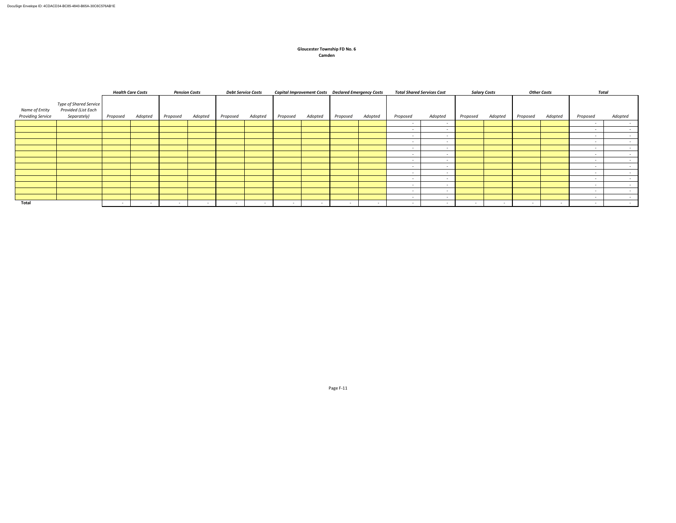|                                            |                                                              |          | <b>Health Care Costs</b> | <b>Pension Costs</b>     |         | <b>Debt Service Costs</b> |         | <b>Capital Improvement Costs</b> Declared Emergency Costs |         |          | <b>Total Shared Services Cost</b> |                          | <b>Salary Costs</b>      |          | <b>Other Costs</b> |          | Total   |                          |               |
|--------------------------------------------|--------------------------------------------------------------|----------|--------------------------|--------------------------|---------|---------------------------|---------|-----------------------------------------------------------|---------|----------|-----------------------------------|--------------------------|--------------------------|----------|--------------------|----------|---------|--------------------------|---------------|
| Name of Entity<br><b>Providing Service</b> | Type of Shared Service<br>Provided (List Each<br>Separately) | Proposed | Adopted                  | Proposed                 | Adopted | Proposed                  | Adopted | Proposed                                                  | Adopted | Proposed | Adopted                           | Proposed                 | Adopted                  | Proposed | Adopted            | Proposed | Adopted | Proposed                 | Adopted       |
|                                            |                                                              |          |                          |                          |         |                           |         |                                                           |         |          |                                   |                          |                          |          |                    |          |         |                          | $\sim$        |
|                                            |                                                              |          |                          |                          |         |                           |         |                                                           |         |          |                                   | $\overline{\phantom{0}}$ |                          |          |                    |          |         | $\overline{\phantom{0}}$ | $\sim$        |
|                                            |                                                              |          |                          |                          |         |                           |         |                                                           |         |          |                                   | $\overline{\phantom{0}}$ |                          |          |                    |          |         | $\overline{\phantom{0}}$ | $\sim$        |
|                                            |                                                              |          |                          |                          |         |                           |         |                                                           |         |          |                                   | $\sim$                   | $\sim$                   |          |                    |          |         | $\overline{\phantom{0}}$ | $\sim$ $\sim$ |
|                                            |                                                              |          |                          |                          |         |                           |         |                                                           |         |          |                                   | $\overline{\phantom{0}}$ | $\sim$                   |          |                    |          |         | $\overline{\phantom{0}}$ | $\sim$        |
|                                            |                                                              |          |                          |                          |         |                           |         |                                                           |         |          |                                   | $\overline{\phantom{0}}$ | $\sim$                   |          |                    |          |         | $\overline{\phantom{0}}$ | $\sim$        |
|                                            |                                                              |          |                          |                          |         |                           |         |                                                           |         |          |                                   | $\overline{\phantom{0}}$ | $\overline{\phantom{0}}$ |          |                    |          |         | $\overline{\phantom{0}}$ | $\sim$        |
|                                            |                                                              |          |                          |                          |         |                           |         |                                                           |         |          |                                   | $\overline{\phantom{0}}$ |                          |          |                    |          |         | $\overline{\phantom{a}}$ | $\sim$        |
|                                            |                                                              |          |                          |                          |         |                           |         |                                                           |         |          |                                   | $\overline{\phantom{0}}$ |                          |          |                    |          |         | $\overline{\phantom{0}}$ | $\sim$        |
|                                            |                                                              |          |                          |                          |         |                           |         |                                                           |         |          |                                   | $\overline{\phantom{0}}$ |                          |          |                    |          |         | $\overline{\phantom{0}}$ | $\sim$        |
|                                            |                                                              |          |                          |                          |         |                           |         |                                                           |         |          |                                   | $\overline{\phantom{0}}$ | $\sim$                   |          |                    |          |         | $\overline{\phantom{0}}$ | $\sim$ $-$    |
|                                            |                                                              |          |                          |                          |         |                           |         |                                                           |         |          |                                   | $\overline{\phantom{0}}$ | $\sim$                   |          |                    |          |         | $\overline{\phantom{0}}$ | $\sim$        |
|                                            |                                                              |          |                          |                          |         |                           |         |                                                           |         |          |                                   | $\overline{\phantom{0}}$ | $\sim$                   |          |                    |          |         | $\overline{\phantom{0}}$ | $\sim$ $-$    |
| <b>Total</b>                               |                                                              | $-$      | $\sim$                   | $\overline{\phantom{0}}$ |         | $\overline{\phantom{a}}$  |         |                                                           |         |          | $\sim$                            | $\overline{\phantom{0}}$ |                          |          |                    |          | $\sim$  | $\overline{\phantom{0}}$ | $\sim$        |